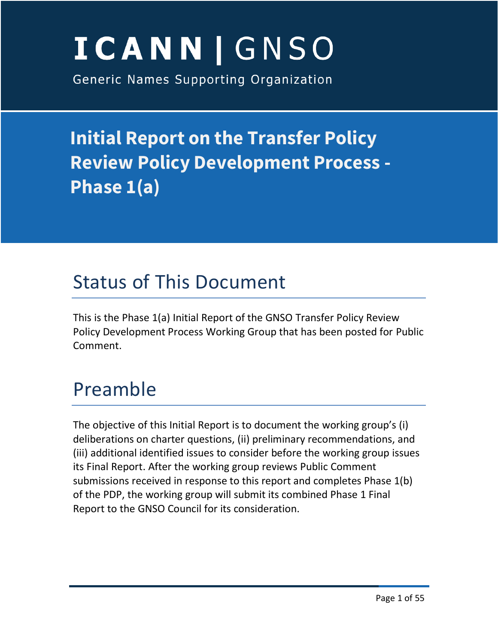# ICANN | GNSO

Generic Names Supporting Organization

**Initial Report on the Transfer Policy Review Policy Development Process - Phase 1(a)**

## Status of This Document

This is the Phase 1(a) Initial Report of the GNSO Transfer Policy Review Policy Development Process Working Group that has been posted for Public Comment.

## Preamble

The objective of this Initial Report is to document the working group's (i) deliberations on charter questions, (ii) preliminary recommendations, and (iii) additional identified issues to consider before the working group issues its Final Report. After the working group reviews Public Comment submissions received in response to this report and completes Phase 1(b) of the PDP, the working group will submit its combined Phase 1 Final Report to the GNSO Council for its consideration.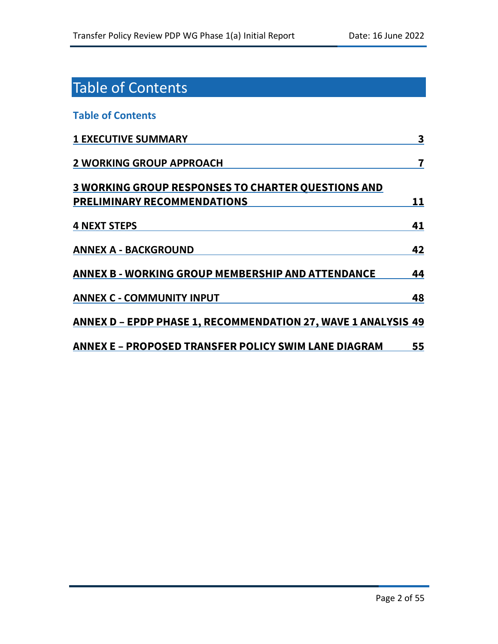## Table of Contents

#### **Table of Contents**

| <b>1 EXECUTIVE SUMMARY</b>                                            | 3  |
|-----------------------------------------------------------------------|----|
| <b>2 WORKING GROUP APPROACH</b>                                       | 7  |
| <b>3 WORKING GROUP RESPONSES TO CHARTER QUESTIONS AND</b>             |    |
| <b>PRELIMINARY RECOMMENDATIONS</b>                                    | 11 |
| <b>4 NEXT STEPS</b>                                                   | 41 |
| <b>ANNEX A - BACKGROUND</b>                                           | 42 |
| ANNEX B - WORKING GROUP MEMBERSHIP AND ATTENDANCE                     | 44 |
| <b>ANNEX C - COMMUNITY INPUT</b>                                      | 48 |
| <u> ANNEX D – EPDP PHASE 1, RECOMMENDATION 27, WAVE 1 ANALYSIS 49</u> |    |
| ANNEX E – PROPOSED TRANSFER POLICY SWIM LANE DIAGRAM                  | 55 |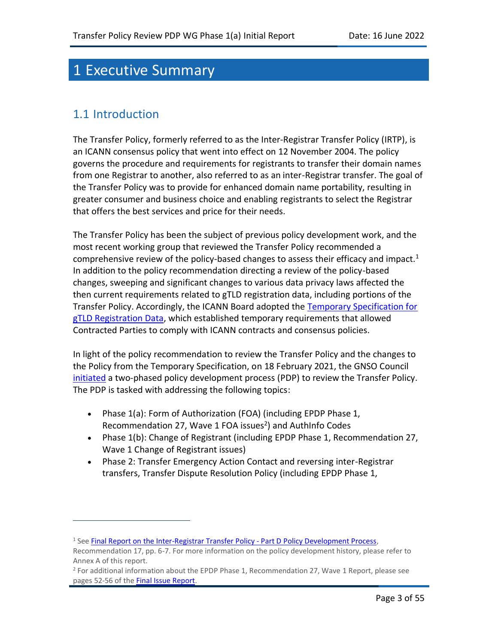## 1 Executive Summary

### 1.1 Introduction

The Transfer Policy, formerly referred to as the Inter‐Registrar Transfer Policy (IRTP), is an ICANN consensus policy that went into effect on 12 November 2004. The policy governs the procedure and requirements for registrants to transfer their domain names from one Registrar to another, also referred to as an inter-Registrar transfer. The goal of the Transfer Policy was to provide for enhanced domain name portability, resulting in greater consumer and business choice and enabling registrants to select the Registrar that offers the best services and price for their needs.

The Transfer Policy has been the subject of previous policy development work, and the most recent working group that reviewed the Transfer Policy recommended a comprehensive review of the policy-based changes to assess their efficacy and impact.<sup>1</sup> In addition to the policy recommendation directing a review of the policy-based changes, sweeping and significant changes to various data privacy laws affected the then current requirements related to gTLD registration data, including portions of the Transfer Policy. Accordingly, the ICANN Board adopted the Temporary Specification for [gTLD Registration Data,](https://www.icann.org/resources/pages/gtld-registration-data-specs-en/#temp-spec) which established temporary requirements that allowed Contracted Parties to comply with ICANN contracts and consensus policies.

In light of the policy recommendation to review the Transfer Policy and the changes to the Policy from the Temporary Specification, on 18 February 2021, the GNSO Council [initiated](https://gnso.icann.org/en/council/resolutions/2020-current#202102) a two-phased policy development process (PDP) to review the Transfer Policy. The PDP is tasked with addressing the following topics:

- Phase 1(a): Form of Authorization (FOA) (including EPDP Phase 1, Recommendation 27, Wave 1 FOA issues<sup>2</sup>) and AuthInfo Codes
- Phase 1(b): Change of Registrant (including EPDP Phase 1, Recommendation 27, Wave 1 Change of Registrant issues)
- Phase 2: Transfer Emergency Action Contact and reversing inter-Registrar transfers, Transfer Dispute Resolution Policy (including EPDP Phase 1,

<sup>&</sup>lt;sup>1</sup> See [Final Report on the Inter-Registrar Transfer Policy -](https://gnso.icann.org/sites/default/files/filefield_46639/irtp-d-final-25sep14-en.pdf) Part D Policy Development Process,

Recommendation 17, pp. 6-7. For more information on the policy development history, please refer to Annex A of this report.

 $2$  For additional information about the EPDP Phase 1, Recommendation 27, Wave 1 Report, please see pages 52-56 of the [Final Issue Report.](https://gnso.icann.org/sites/default/files/file/field-file-attach/final-issue-report-pdp-transfer-policy-review-12jan21-en.pdf)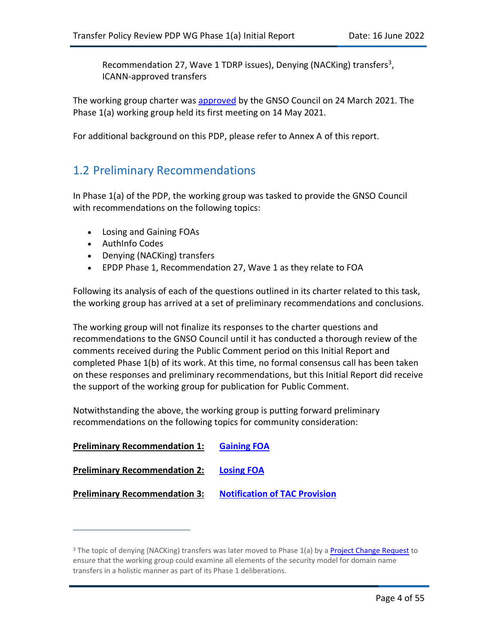Recommendation 27, Wave 1 TDRP issues), Denying (NACKing) transfers<sup>3</sup>, ICANN-approved transfers

The working group charter was [approved](https://gnso.icann.org/en/council/resolutions/2020-current#202103) by the GNSO Council on 24 March 2021. The Phase 1(a) working group held its first meeting on 14 May 2021.

For additional background on this PDP, please refer to Annex A of this report.

## 1.2 Preliminary Recommendations

In Phase 1(a) of the PDP, the working group was tasked to provide the GNSO Council with recommendations on the following topics:

- Losing and Gaining FOAs
- AuthInfo Codes
- Denying (NACKing) transfers
- EPDP Phase 1, Recommendation 27, Wave 1 as they relate to FOA

Following its analysis of each of the questions outlined in its charter related to this task, the working group has arrived at a set of preliminary recommendations and conclusions.

The working group will not finalize its responses to the charter questions and recommendations to the GNSO Council until it has conducted a thorough review of the comments received during the Public Comment period on this Initial Report and completed Phase 1(b) of its work. At this time, no formal consensus call has been taken on these responses and preliminary recommendations, but this Initial Report did receive the support of the working group for publication for Public Comment.

Notwithstanding the above, the working group is putting forward preliminary recommendations on the following topics for community consideration:

| <b>Preliminary Recommendation 1:</b> | <b>Gaining FOA</b>                   |
|--------------------------------------|--------------------------------------|
| <b>Preliminary Recommendation 2:</b> | <b>Losing FOA</b>                    |
| <b>Preliminary Recommendation 3:</b> | <b>Notification of TAC Provision</b> |

<sup>&</sup>lt;sup>3</sup> The topic of denying (NACKing) transfers was later moved to Phase 1(a) by a [Project Change Request](https://gnso.icann.org/en/council/resolutions/2020-current#202112) to ensure that the working group could examine all elements of the security model for domain name transfers in a holistic manner as part of its Phase 1 deliberations.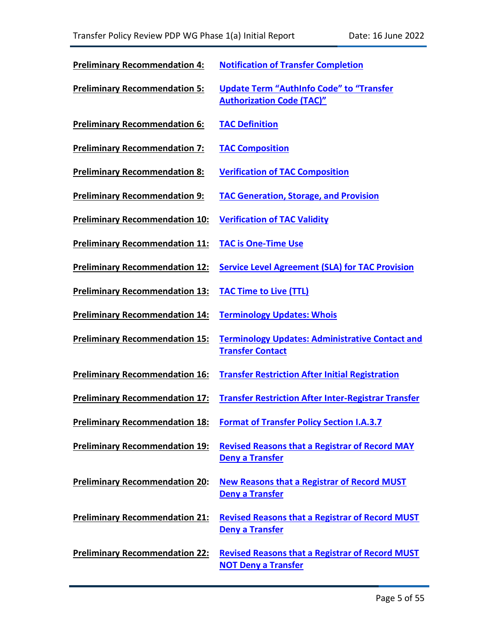| <b>Preliminary Recommendation 4:</b>  | <b>Notification of Transfer Completion</b>                                           |
|---------------------------------------|--------------------------------------------------------------------------------------|
| <b>Preliminary Recommendation 5:</b>  | <b>Update Term "AuthInfo Code" to "Transfer</b><br><b>Authorization Code (TAC)"</b>  |
| <b>Preliminary Recommendation 6:</b>  | <b>TAC Definition</b>                                                                |
| <b>Preliminary Recommendation 7:</b>  | <b>TAC Composition</b>                                                               |
| <b>Preliminary Recommendation 8:</b>  | <b>Verification of TAC Composition</b>                                               |
| <b>Preliminary Recommendation 9:</b>  | <b>TAC Generation, Storage, and Provision</b>                                        |
| <b>Preliminary Recommendation 10:</b> | <b>Verification of TAC Validity</b>                                                  |
| <b>Preliminary Recommendation 11:</b> | <b>TAC is One-Time Use</b>                                                           |
| <b>Preliminary Recommendation 12:</b> | <b>Service Level Agreement (SLA) for TAC Provision</b>                               |
| <b>Preliminary Recommendation 13:</b> | <b>TAC Time to Live (TTL)</b>                                                        |
| <b>Preliminary Recommendation 14:</b> | <b>Terminology Updates: Whois</b>                                                    |
| <b>Preliminary Recommendation 15:</b> | <b>Terminology Updates: Administrative Contact and</b><br><b>Transfer Contact</b>    |
| <b>Preliminary Recommendation 16:</b> | <b>Transfer Restriction After Initial Registration</b>                               |
| <b>Preliminary Recommendation 17:</b> | <b>Transfer Restriction After Inter-Registrar Transfer</b>                           |
|                                       | <b>Preliminary Recommendation 18: Format of Transfer Policy Section I.A.3.7</b>      |
| <b>Preliminary Recommendation 19:</b> | <b>Revised Reasons that a Registrar of Record MAY</b><br><b>Deny a Transfer</b>      |
| <b>Preliminary Recommendation 20:</b> | <b>New Reasons that a Registrar of Record MUST</b><br><b>Deny a Transfer</b>         |
| <b>Preliminary Recommendation 21:</b> | <b>Revised Reasons that a Registrar of Record MUST</b><br>Deny a Transfer            |
| <b>Preliminary Recommendation 22:</b> | <b>Revised Reasons that a Registrar of Record MUST</b><br><b>NOT Deny a Transfer</b> |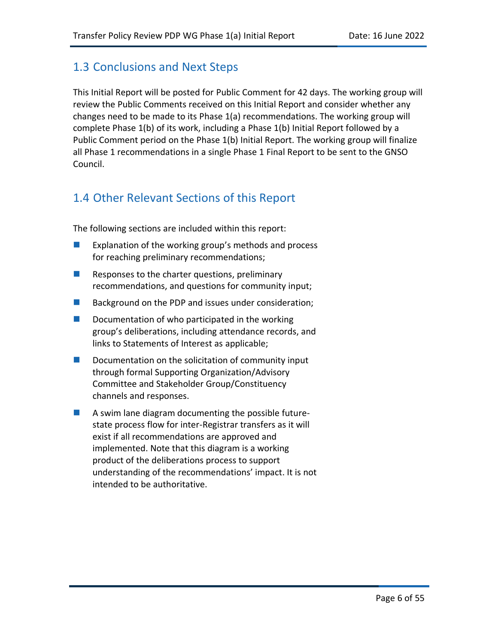## 1.3 Conclusions and Next Steps

This Initial Report will be posted for Public Comment for 42 days. The working group will review the Public Comments received on this Initial Report and consider whether any changes need to be made to its Phase 1(a) recommendations. The working group will complete Phase 1(b) of its work, including a Phase 1(b) Initial Report followed by a Public Comment period on the Phase 1(b) Initial Report. The working group will finalize all Phase 1 recommendations in a single Phase 1 Final Report to be sent to the GNSO Council.

## 1.4 Other Relevant Sections of this Report

The following sections are included within this report:

- Explanation of the working group's methods and process for reaching preliminary recommendations;
- $\blacksquare$  Responses to the charter questions, preliminary recommendations, and questions for community input;
- Background on the PDP and issues under consideration;
- Documentation of who participated in the working group's deliberations, including attendance records, and links to Statements of Interest as applicable;
- Documentation on the solicitation of community input through formal Supporting Organization/Advisory Committee and Stakeholder Group/Constituency channels and responses.
- A swim lane diagram documenting the possible futurestate process flow for inter-Registrar transfers as it will exist if all recommendations are approved and implemented. Note that this diagram is a working product of the deliberations process to support understanding of the recommendations' impact. It is not intended to be authoritative.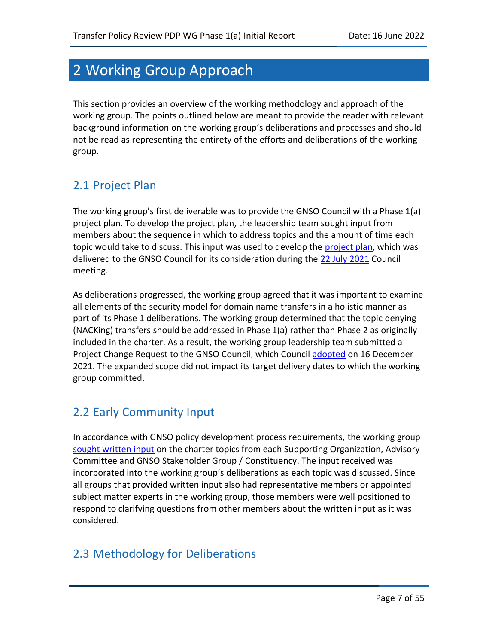## 2 Working Group Approach

This section provides an overview of the working methodology and approach of the working group. The points outlined below are meant to provide the reader with relevant background information on the working group's deliberations and processes and should not be read as representing the entirety of the efforts and deliberations of the working group.

## 2.1 Project Plan

The working group's first deliverable was to provide the GNSO Council with a Phase 1(a) project plan. To develop the project plan, the leadership team sought input from members about the sequence in which to address topics and the amount of time each topic would take to discuss. This input was used to develop the [project plan,](https://community.icann.org/x/MQDQCQ) which was delivered to the GNSO Council for its consideration during the [22 July 2021](https://gnso.icann.org/sites/default/files/policy/2021/minutes/minutes-gnso-council-22jul21-en.pdf) Council meeting.

As deliberations progressed, the working group agreed that it was important to examine all elements of the security model for domain name transfers in a holistic manner as part of its Phase 1 deliberations. The working group determined that the topic denying (NACKing) transfers should be addressed in Phase 1(a) rather than Phase 2 as originally included in the charter. As a result, the working group leadership team submitted a Project Change Request to the GNSO Council, which Council [adopted](https://gnso.icann.org/en/council/resolutions/2020-current#20211216-1) on 16 December 2021. The expanded scope did not impact its target delivery dates to which the working group committed.

## 2.2 Early Community Input

In accordance with GNSO policy development process requirements, the working group [sought written input](https://community.icann.org/display/TPRPDP/Community+Input) on the charter topics from each Supporting Organization, Advisory Committee and GNSO Stakeholder Group / Constituency. The input received was incorporated into the working group's deliberations as each topic was discussed. Since all groups that provided written input also had representative members or appointed subject matter experts in the working group, those members were well positioned to respond to clarifying questions from other members about the written input as it was considered.

## 2.3 Methodology for Deliberations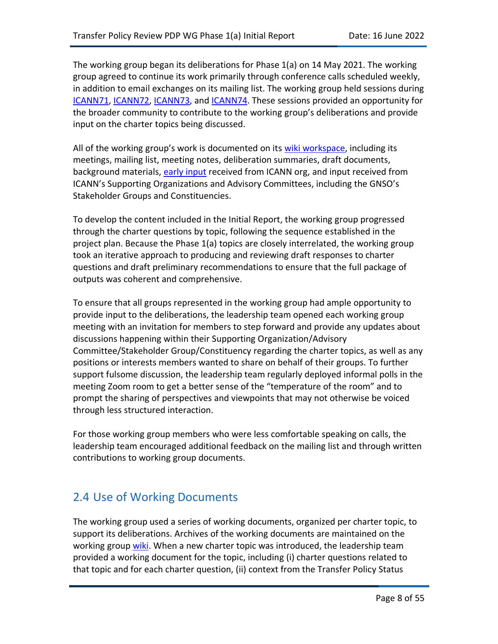The working group began its deliberations for Phase 1(a) on 14 May 2021. The working group agreed to continue its work primarily through conference calls scheduled weekly, in addition to email exchanges on its mailing list. The working group held sessions during [ICANN71,](https://71.schedule.icann.org/) [ICANN72,](https://72.schedule.icann.org/) [ICANN73,](https://73.schedule.icann.org/) and [ICANN74.](https://74.schedule.icann.org/) These sessions provided an opportunity for the broader community to contribute to the working group's deliberations and provide input on the charter topics being discussed.

All of the working group's work is documented on its [wiki workspace,](https://community.icann.org/display/TPRPDP) including its meetings, mailing list, meeting notes, deliberation summaries, draft documents, background materials, [early input](https://community.icann.org/x/tIT8CQ) received from ICANN org, and input received from ICANN's Supporting Organizations and Advisory Committees, including the GNSO's Stakeholder Groups and Constituencies.

To develop the content included in the Initial Report, the working group progressed through the charter questions by topic, following the sequence established in the project plan. Because the Phase 1(a) topics are closely interrelated, the working group took an iterative approach to producing and reviewing draft responses to charter questions and draft preliminary recommendations to ensure that the full package of outputs was coherent and comprehensive.

To ensure that all groups represented in the working group had ample opportunity to provide input to the deliberations, the leadership team opened each working group meeting with an invitation for members to step forward and provide any updates about discussions happening within their Supporting Organization/Advisory Committee/Stakeholder Group/Constituency regarding the charter topics, as well as any positions or interests members wanted to share on behalf of their groups. To further support fulsome discussion, the leadership team regularly deployed informal polls in the meeting Zoom room to get a better sense of the "temperature of the room" and to prompt the sharing of perspectives and viewpoints that may not otherwise be voiced through less structured interaction.

For those working group members who were less comfortable speaking on calls, the leadership team encouraged additional feedback on the mailing list and through written contributions to working group documents.

## 2.4 Use of Working Documents

The working group used a series of working documents, organized per charter topic, to support its deliberations. Archives of the working documents are maintained on the working group [wiki.](https://community.icann.org/display/TPRPDP/Working+Documents) When a new charter topic was introduced, the leadership team provided a working document for the topic, including (i) charter questions related to that topic and for each charter question, (ii) context from the Transfer Policy Status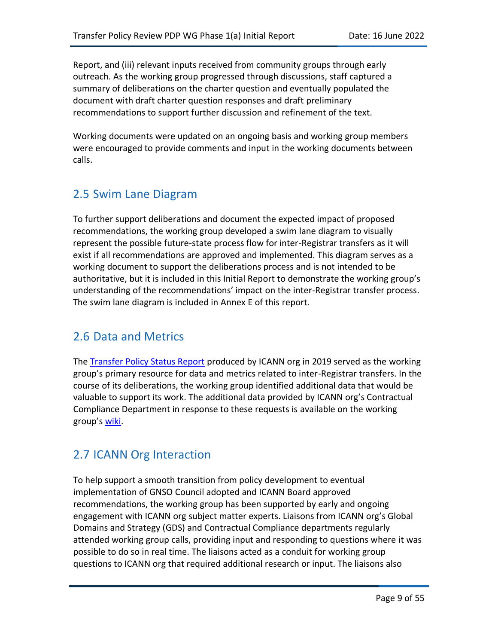Report, and (iii) relevant inputs received from community groups through early outreach. As the working group progressed through discussions, staff captured a summary of deliberations on the charter question and eventually populated the document with draft charter question responses and draft preliminary recommendations to support further discussion and refinement of the text.

Working documents were updated on an ongoing basis and working group members were encouraged to provide comments and input in the working documents between calls.

## 2.5 Swim Lane Diagram

To further support deliberations and document the expected impact of proposed recommendations, the working group developed a swim lane diagram to visually represent the possible future-state process flow for inter-Registrar transfers as it will exist if all recommendations are approved and implemented. This diagram serves as a working document to support the deliberations process and is not intended to be authoritative, but it is included in this Initial Report to demonstrate the working group's understanding of the recommendations' impact on the inter-Registrar transfer process. The swim lane diagram is included in Annex E of this report.

### 2.6 Data and Metrics

The [Transfer Policy Status Report](https://www.icann.org/uploads/ckeditor/IRTPPSRRevised_GNSO_Final.pdf) produced by ICANN org in 2019 served as the working group's primary resource for data and metrics related to inter-Registrar transfers. In the course of its deliberations, the working group identified additional data that would be valuable to support its work. The additional data provided by ICANN org's Contractual Compliance Department in response to these requests is available on the working group's <u>wiki</u>.

### 2.7 ICANN Org Interaction

To help support a smooth transition from policy development to eventual implementation of GNSO Council adopted and ICANN Board approved recommendations, the working group has been supported by early and ongoing engagement with ICANN org subject matter experts. Liaisons from ICANN org's Global Domains and Strategy (GDS) and Contractual Compliance departments regularly attended working group calls, providing input and responding to questions where it was possible to do so in real time. The liaisons acted as a conduit for working group questions to ICANN org that required additional research or input. The liaisons also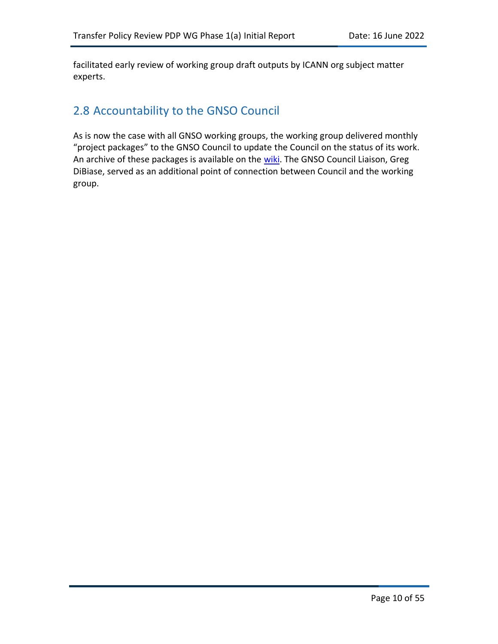facilitated early review of working group draft outputs by ICANN org subject matter experts.

## 2.8 Accountability to the GNSO Council

As is now the case with all GNSO working groups, the working group delivered monthly "project packages" to the GNSO Council to update the Council on the status of its work. An archive of these packages is available on the [wiki.](https://community.icann.org/pages/viewpage.action?pageId=164626481) The GNSO Council Liaison, Greg DiBiase, served as an additional point of connection between Council and the working group.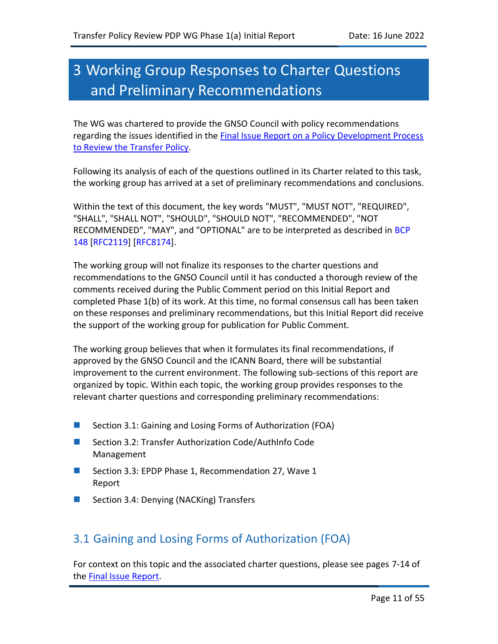## 3 Working Group Responses to Charter Questions and Preliminary Recommendations

The WG was chartered to provide the GNSO Council with policy recommendations regarding the issues identified in the Final Issue Report [on a Policy Development Process](https://gnso.icann.org/sites/default/files/file/field-file-attach/final-issue-report-pdp-transfer-policy-review-12jan21-en.pdf)  [to Review the Transfer Policy.](https://gnso.icann.org/sites/default/files/file/field-file-attach/final-issue-report-pdp-transfer-policy-review-12jan21-en.pdf)

Following its analysis of each of the questions outlined in its Charter related to this task, the working group has arrived at a set of preliminary recommendations and conclusions.

Within the text of this document, the key words "MUST", "MUST NOT", "REQUIRED", "SHALL", "SHALL NOT", "SHOULD", "SHOULD NOT", "RECOMMENDED", "NOT RECOMMENDED", "MAY", and "OPTIONAL" are to be interpreted as described in BCP 148 [RFC2119] [RFC8174].

The working group will not finalize its responses to the charter questions and recommendations to the GNSO Council until it has conducted a thorough review of the comments received during the Public Comment period on this Initial Report and completed Phase 1(b) of its work. At this time, no formal consensus call has been taken on these responses and preliminary recommendations, but this Initial Report did receive the support of the working group for publication for Public Comment.

The working group believes that when it formulates its final recommendations, if approved by the GNSO Council and the ICANN Board, there will be substantial improvement to the current environment. The following sub-sections of this report are organized by topic. Within each topic, the working group provides responses to the relevant charter questions and corresponding preliminary recommendations:

- Section 3.1: Gaining and Losing Forms of Authorization (FOA)
- Section 3.2: Transfer Authorization Code/AuthInfo Code Management
- Section 3.3: EPDP Phase 1, Recommendation 27, Wave 1 Report
- Section 3.4: Denying (NACKing) Transfers

### 3.1 Gaining and Losing Forms of Authorization (FOA)

For context on this topic and the associated charter questions, please see pages 7-14 of the [Final Issue Report.](https://gnso.icann.org/sites/default/files/file/field-file-attach/final-issue-report-pdp-transfer-policy-review-12jan21-en.pdf)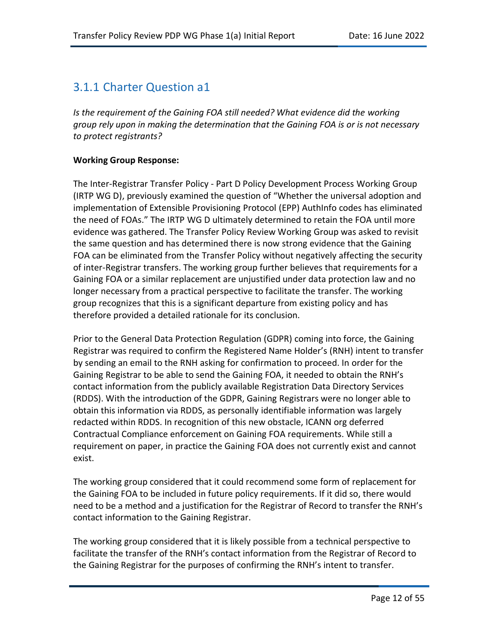## 3.1.1 Charter Question a1

Is the requirement of the Gaining FOA still needed? What evidence did the working *group rely upon in making the determination that the Gaining FOA is or is not necessary to protect registrants?*

#### **Working Group Response:**

The Inter-Registrar Transfer Policy - Part D Policy Development Process Working Group (IRTP WG D), previously examined the question of "Whether the universal adoption and implementation of Extensible Provisioning Protocol (EPP) AuthInfo codes has eliminated the need of FOAs." The IRTP WG D ultimately determined to retain the FOA until more evidence was gathered. The Transfer Policy Review Working Group was asked to revisit the same question and has determined there is now strong evidence that the Gaining FOA can be eliminated from the Transfer Policy without negatively affecting the security of inter-Registrar transfers. The working group further believes that requirements for a Gaining FOA or a similar replacement are unjustified under data protection law and no longer necessary from a practical perspective to facilitate the transfer. The working group recognizes that this is a significant departure from existing policy and has therefore provided a detailed rationale for its conclusion.

Prior to the General Data Protection Regulation (GDPR) coming into force, the Gaining Registrar was required to confirm the Registered Name Holder's (RNH) intent to transfer by sending an email to the RNH asking for confirmation to proceed. In order for the Gaining Registrar to be able to send the Gaining FOA, it needed to obtain the RNH's contact information from the publicly available Registration Data Directory Services (RDDS). With the introduction of the GDPR, Gaining Registrars were no longer able to obtain this information via RDDS, as personally identifiable information was largely redacted within RDDS. In recognition of this new obstacle, ICANN org deferred Contractual Compliance enforcement on Gaining FOA requirements. While still a requirement on paper, in practice the Gaining FOA does not currently exist and cannot exist.

The working group considered that it could recommend some form of replacement for the Gaining FOA to be included in future policy requirements. If it did so, there would need to be a method and a justification for the Registrar of Record to transfer the RNH's contact information to the Gaining Registrar.

The working group considered that it is likely possible from a technical perspective to facilitate the transfer of the RNH's contact information from the Registrar of Record to the Gaining Registrar for the purposes of confirming the RNH's intent to transfer.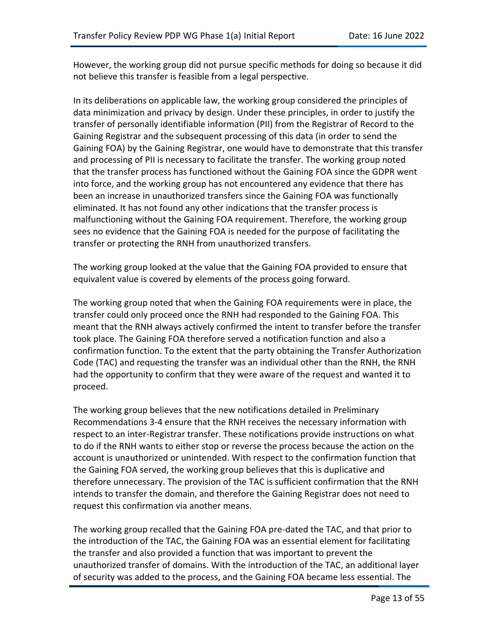However, the working group did not pursue specific methods for doing so because it did not believe this transfer is feasible from a legal perspective.

In its deliberations on applicable law, the working group considered the principles of data minimization and privacy by design. Under these principles, in order to justify the transfer of personally identifiable information (PII) from the Registrar of Record to the Gaining Registrar and the subsequent processing of this data (in order to send the Gaining FOA) by the Gaining Registrar, one would have to demonstrate that this transfer and processing of PII is necessary to facilitate the transfer. The working group noted that the transfer process has functioned without the Gaining FOA since the GDPR went into force, and the working group has not encountered any evidence that there has been an increase in unauthorized transfers since the Gaining FOA was functionally eliminated. It has not found any other indications that the transfer process is malfunctioning without the Gaining FOA requirement. Therefore, the working group sees no evidence that the Gaining FOA is needed for the purpose of facilitating the transfer or protecting the RNH from unauthorized transfers.

The working group looked at the value that the Gaining FOA provided to ensure that equivalent value is covered by elements of the process going forward.

The working group noted that when the Gaining FOA requirements were in place, the transfer could only proceed once the RNH had responded to the Gaining FOA. This meant that the RNH always actively confirmed the intent to transfer before the transfer took place. The Gaining FOA therefore served a notification function and also a confirmation function. To the extent that the party obtaining the Transfer Authorization Code (TAC) and requesting the transfer was an individual other than the RNH, the RNH had the opportunity to confirm that they were aware of the request and wanted it to proceed.

The working group believes that the new notifications detailed in Preliminary Recommendations 3-4 ensure that the RNH receives the necessary information with respect to an inter-Registrar transfer. These notifications provide instructions on what to do if the RNH wants to either stop or reverse the process because the action on the account is unauthorized or unintended. With respect to the confirmation function that the Gaining FOA served, the working group believes that this is duplicative and therefore unnecessary. The provision of the TAC is sufficient confirmation that the RNH intends to transfer the domain, and therefore the Gaining Registrar does not need to request this confirmation via another means.

The working group recalled that the Gaining FOA pre-dated the TAC, and that prior to the introduction of the TAC, the Gaining FOA was an essential element for facilitating the transfer and also provided a function that was important to prevent the unauthorized transfer of domains. With the introduction of the TAC, an additional layer of security was added to the process, and the Gaining FOA became less essential. The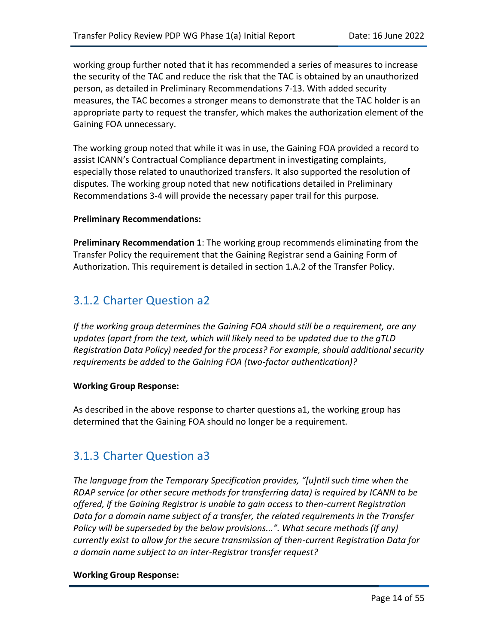working group further noted that it has recommended a series of measures to increase the security of the TAC and reduce the risk that the TAC is obtained by an unauthorized person, as detailed in Preliminary Recommendations 7-13. With added security measures, the TAC becomes a stronger means to demonstrate that the TAC holder is an appropriate party to request the transfer, which makes the authorization element of the Gaining FOA unnecessary.

The working group noted that while it was in use, the Gaining FOA provided a record to assist ICANN's Contractual Compliance department in investigating complaints, especially those related to unauthorized transfers. It also supported the resolution of disputes. The working group noted that new notifications detailed in Preliminary Recommendations 3-4 will provide the necessary paper trail for this purpose.

#### **Preliminary Recommendations:**

<span id="page-13-0"></span>**Preliminary Recommendation 1**: The working group recommends eliminating from the Transfer Policy the requirement that the Gaining Registrar send a Gaining Form of Authorization. This requirement is detailed in section 1.A.2 of the Transfer Policy.

## 3.1.2 Charter Question a2

*If the working group determines the Gaining FOA should still be a requirement, are any updates (apart from the text, which will likely need to be updated due to the gTLD Registration Data Policy) needed for the process? For example, should additional security requirements be added to the Gaining FOA (two-factor authentication)?*

#### **Working Group Response:**

As described in the above response to charter questions a1, the working group has determined that the Gaining FOA should no longer be a requirement.

### 3.1.3 Charter Question a3

*The language from the Temporary Specification provides, "[u]ntil such time when the RDAP service (or other secure methods for transferring data) is required by ICANN to be offered, if the Gaining Registrar is unable to gain access to then-current Registration Data for a domain name subject of a transfer, the related requirements in the Transfer Policy will be superseded by the below provisions...". What secure methods (if any) currently exist to allow for the secure transmission of then-current Registration Data for a domain name subject to an inter-Registrar transfer request?*

#### **Working Group Response:**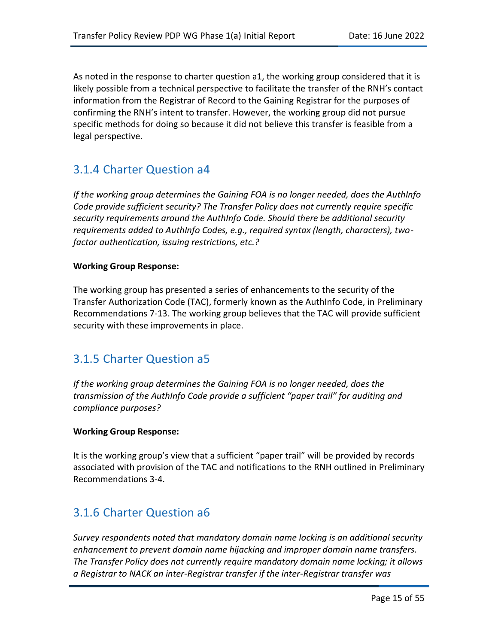As noted in the response to charter question a1, the working group considered that it is likely possible from a technical perspective to facilitate the transfer of the RNH's contact information from the Registrar of Record to the Gaining Registrar for the purposes of confirming the RNH's intent to transfer. However, the working group did not pursue specific methods for doing so because it did not believe this transfer is feasible from a legal perspective.

## 3.1.4 Charter Question a4

*If the working group determines the Gaining FOA is no longer needed, does the AuthInfo Code provide sufficient security? The Transfer Policy does not currently require specific security requirements around the AuthInfo Code. Should there be additional security requirements added to AuthInfo Codes, e.g., required syntax (length, characters), twofactor authentication, issuing restrictions, etc.?*

#### **Working Group Response:**

The working group has presented a series of enhancements to the security of the Transfer Authorization Code (TAC), formerly known as the AuthInfo Code, in Preliminary Recommendations 7-13. The working group believes that the TAC will provide sufficient security with these improvements in place.

### 3.1.5 Charter Question a5

*If the working group determines the Gaining FOA is no longer needed, does the transmission of the AuthInfo Code provide a sufficient "paper trail" for auditing and compliance purposes?*

#### **Working Group Response:**

It is the working group's view that a sufficient "paper trail" will be provided by records associated with provision of the TAC and notifications to the RNH outlined in Preliminary Recommendations 3-4.

### 3.1.6 Charter Question a6

*Survey respondents noted that mandatory domain name locking is an additional security enhancement to prevent domain name hijacking and improper domain name transfers. The Transfer Policy does not currently require mandatory domain name locking; it allows a Registrar to NACK an inter-Registrar transfer if the inter-Registrar transfer was*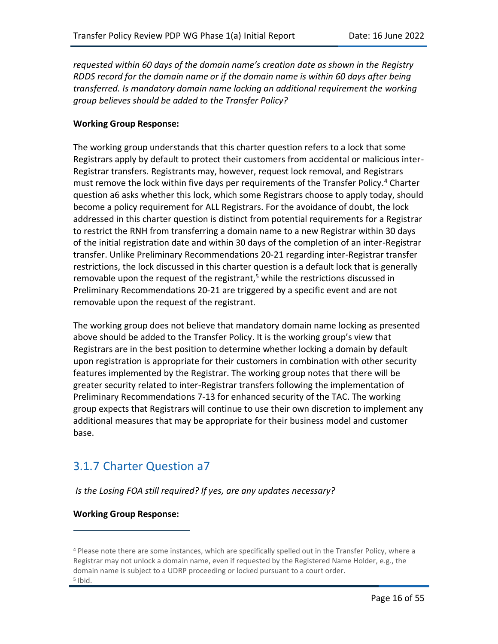*requested within 60 days of the domain name's creation date as shown in the Registry RDDS record for the domain name or if the domain name is within 60 days after being transferred. Is mandatory domain name locking an additional requirement the working group believes should be added to the Transfer Policy?* 

#### **Working Group Response:**

The working group understands that this charter question refers to a lock that some Registrars apply by default to protect their customers from accidental or malicious inter-Registrar transfers. Registrants may, however, request lock removal, and Registrars must remove the lock within five days per requirements of the Transfer Policy.<sup>4</sup> Charter question a6 asks whether this lock, which some Registrars choose to apply today, should become a policy requirement for ALL Registrars. For the avoidance of doubt, the lock addressed in this charter question is distinct from potential requirements for a Registrar to restrict the RNH from transferring a domain name to a new Registrar within 30 days of the initial registration date and within 30 days of the completion of an inter-Registrar transfer. Unlike Preliminary Recommendations 20-21 regarding inter-Registrar transfer restrictions, the lock discussed in this charter question is a default lock that is generally removable upon the request of the registrant,<sup>5</sup> while the restrictions discussed in Preliminary Recommendations 20-21 are triggered by a specific event and are not removable upon the request of the registrant.

The working group does not believe that mandatory domain name locking as presented above should be added to the Transfer Policy. It is the working group's view that Registrars are in the best position to determine whether locking a domain by default upon registration is appropriate for their customers in combination with other security features implemented by the Registrar. The working group notes that there will be greater security related to inter-Registrar transfers following the implementation of Preliminary Recommendations 7-13 for enhanced security of the TAC. The working group expects that Registrars will continue to use their own discretion to implement any additional measures that may be appropriate for their business model and customer base.

## 3.1.7 Charter Question a7

#### *Is the Losing FOA still required? If yes, are any updates necessary?*

#### **Working Group Response:**

<sup>4</sup> Please note there are some instances, which are specifically spelled out in the Transfer Policy, where a Registrar may not unlock a domain name, even if requested by the Registered Name Holder, e.g., the domain name is subject to a UDRP proceeding or locked pursuant to a court order. 5 Ibid.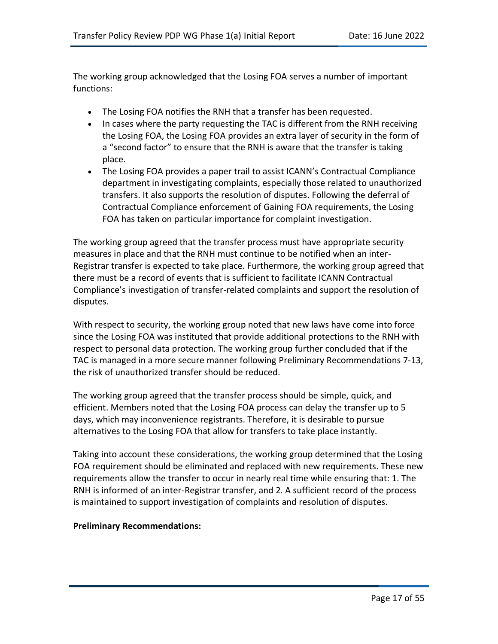The working group acknowledged that the Losing FOA serves a number of important functions:

- The Losing FOA notifies the RNH that a transfer has been requested.
- In cases where the party requesting the TAC is different from the RNH receiving the Losing FOA, the Losing FOA provides an extra layer of security in the form of a "second factor" to ensure that the RNH is aware that the transfer is taking place.
- The Losing FOA provides a paper trail to assist ICANN's Contractual Compliance department in investigating complaints, especially those related to unauthorized transfers. It also supports the resolution of disputes. Following the deferral of Contractual Compliance enforcement of Gaining FOA requirements, the Losing FOA has taken on particular importance for complaint investigation.

The working group agreed that the transfer process must have appropriate security measures in place and that the RNH must continue to be notified when an inter-Registrar transfer is expected to take place. Furthermore, the working group agreed that there must be a record of events that is sufficient to facilitate ICANN Contractual Compliance's investigation of transfer-related complaints and support the resolution of disputes.

With respect to security, the working group noted that new laws have come into force since the Losing FOA was instituted that provide additional protections to the RNH with respect to personal data protection. The working group further concluded that if the TAC is managed in a more secure manner following Preliminary Recommendations 7-13, the risk of unauthorized transfer should be reduced.

The working group agreed that the transfer process should be simple, quick, and efficient. Members noted that the Losing FOA process can delay the transfer up to 5 days, which may inconvenience registrants. Therefore, it is desirable to pursue alternatives to the Losing FOA that allow for transfers to take place instantly.

Taking into account these considerations, the working group determined that the Losing FOA requirement should be eliminated and replaced with new requirements. These new requirements allow the transfer to occur in nearly real time while ensuring that: 1. The RNH is informed of an inter-Registrar transfer, and 2. A sufficient record of the process is maintained to support investigation of complaints and resolution of disputes.

#### **Preliminary Recommendations:**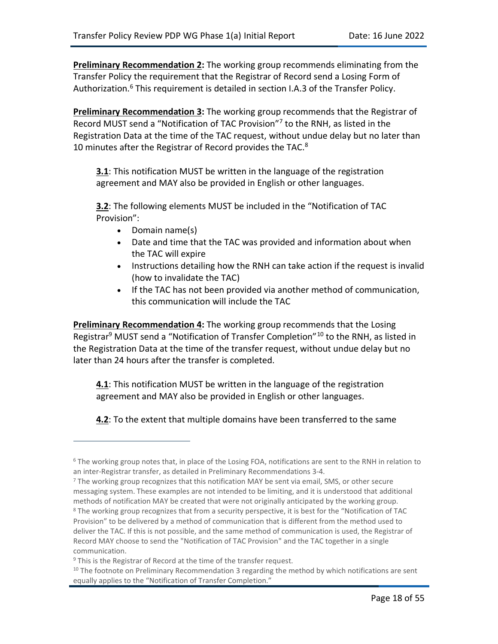<span id="page-17-0"></span>**Preliminary Recommendation 2:** The working group recommends eliminating from the Transfer Policy the requirement that the Registrar of Record send a Losing Form of Authorization.<sup>6</sup> This requirement is detailed in section I.A.3 of the Transfer Policy.

<span id="page-17-1"></span>**Preliminary Recommendation 3:** The working group recommends that the Registrar of Record MUST send a "Notification of TAC Provision"<sup>7</sup> to the RNH, as listed in the Registration Data at the time of the TAC request, without undue delay but no later than 10 minutes after the Registrar of Record provides the TAC.<sup>8</sup>

**3.1**: This notification MUST be written in the language of the registration agreement and MAY also be provided in English or other languages.

**3.2**: The following elements MUST be included in the "Notification of TAC Provision":

- Domain name(s)
- Date and time that the TAC was provided and information about when the TAC will expire
- Instructions detailing how the RNH can take action if the request is invalid (how to invalidate the TAC)
- If the TAC has not been provided via another method of communication, this communication will include the TAC

<span id="page-17-2"></span>**Preliminary Recommendation 4:** The working group recommends that the Losing Registrar<sup>9</sup> MUST send a "Notification of Transfer Completion"<sup>10</sup> to the RNH, as listed in the Registration Data at the time of the transfer request, without undue delay but no later than 24 hours after the transfer is completed.

**4.1**: This notification MUST be written in the language of the registration agreement and MAY also be provided in English or other languages.

**4.2**: To the extent that multiple domains have been transferred to the same

<sup>&</sup>lt;sup>6</sup> The working group notes that, in place of the Losing FOA, notifications are sent to the RNH in relation to an inter-Registrar transfer, as detailed in Preliminary Recommendations 3-4.

 $<sup>7</sup>$  The working group recognizes that this notification MAY be sent via email, SMS, or other secure</sup> messaging system. These examples are not intended to be limiting, and it is understood that additional methods of notification MAY be created that were not originally anticipated by the working group. <sup>8</sup> The working group recognizes that from a security perspective, it is best for the "Notification of TAC Provision" to be delivered by a method of communication that is different from the method used to deliver the TAC. If this is not possible, and the same method of communication is used, the Registrar of Record MAY choose to send the "Notification of TAC Provision" and the TAC together in a single communication.

 $9$  This is the Registrar of Record at the time of the transfer request.

 $10$  The footnote on Preliminary Recommendation 3 regarding the method by which notifications are sent equally applies to the "Notification of Transfer Completion."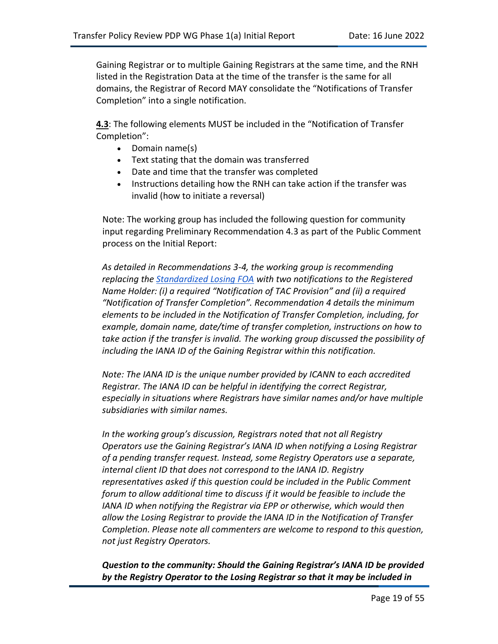Gaining Registrar or to multiple Gaining Registrars at the same time, and the RNH listed in the Registration Data at the time of the transfer is the same for all domains, the Registrar of Record MAY consolidate the "Notifications of Transfer Completion" into a single notification.

**4.3**: The following elements MUST be included in the "Notification of Transfer Completion":

- Domain name(s)
- Text stating that the domain was transferred
- Date and time that the transfer was completed
- Instructions detailing how the RNH can take action if the transfer was invalid (how to initiate a reversal)

Note: The working group has included the following question for community input regarding Preliminary Recommendation 4.3 as part of the Public Comment process on the Initial Report:

*As detailed in Recommendations 3-4, the working group is recommending replacing the [Standardized Losing FOA](https://www.icann.org/resources/pages/foa-registrar-transfer-confirmation-2016-06-01-en) with two notifications to the Registered Name Holder: (i) a required "Notification of TAC Provision" and (ii) a required "Notification of Transfer Completion". Recommendation 4 details the minimum elements to be included in the Notification of Transfer Completion, including, for example, domain name, date/time of transfer completion, instructions on how to take action if the transfer is invalid. The working group discussed the possibility of including the IANA ID of the Gaining Registrar within this notification.*

*Note: The IANA ID is the unique number provided by ICANN to each accredited Registrar. The IANA ID can be helpful in identifying the correct Registrar, especially in situations where Registrars have similar names and/or have multiple subsidiaries with similar names.*

*In the working group's discussion, Registrars noted that not all Registry Operators use the Gaining Registrar's IANA ID when notifying a Losing Registrar of a pending transfer request. Instead, some Registry Operators use a separate, internal client ID that does not correspond to the IANA ID. Registry representatives asked if this question could be included in the Public Comment forum to allow additional time to discuss if it would be feasible to include the IANA ID when notifying the Registrar via EPP or otherwise, which would then allow the Losing Registrar to provide the IANA ID in the Notification of Transfer Completion. Please note all commenters are welcome to respond to this question, not just Registry Operators.*

*Question to the community: Should the Gaining Registrar's IANA ID be provided by the Registry Operator to the Losing Registrar so that it may be included in*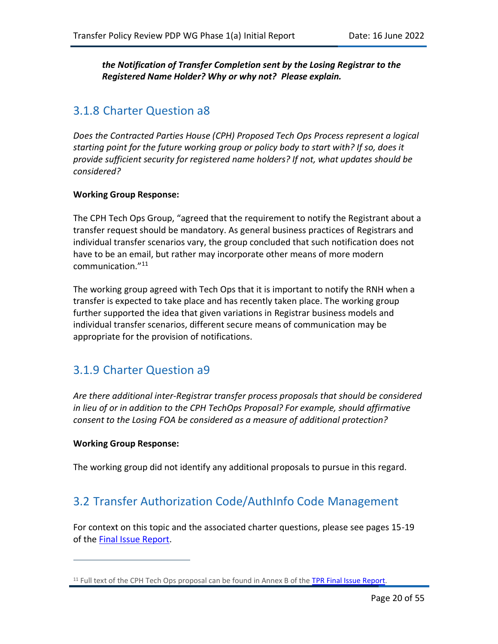*the Notification of Transfer Completion sent by the Losing Registrar to the Registered Name Holder? Why or why not? Please explain.*

## 3.1.8 Charter Question a8

*Does the Contracted Parties House (CPH) Proposed Tech Ops Process represent a logical starting point for the future working group or policy body to start with? If so, does it provide sufficient security for registered name holders? If not, what updates should be considered?*

#### **Working Group Response:**

The CPH Tech Ops Group, "agreed that the requirement to notify the Registrant about a transfer request should be mandatory. As general business practices of Registrars and individual transfer scenarios vary, the group concluded that such notification does not have to be an email, but rather may incorporate other means of more modern communication."<sup>11</sup>

The working group agreed with Tech Ops that it is important to notify the RNH when a transfer is expected to take place and has recently taken place. The working group further supported the idea that given variations in Registrar business models and individual transfer scenarios, different secure means of communication may be appropriate for the provision of notifications.

### 3.1.9 Charter Question a9

*Are there additional inter-Registrar transfer process proposals that should be considered in lieu of or in addition to the CPH TechOps Proposal? For example, should affirmative consent to the Losing FOA be considered as a measure of additional protection?*

#### **Working Group Response:**

The working group did not identify any additional proposals to pursue in this regard.

### 3.2 Transfer Authorization Code/AuthInfo Code Management

For context on this topic and the associated charter questions, please see pages 15-19 of the [Final Issue Report.](https://gnso.icann.org/sites/default/files/file/field-file-attach/final-issue-report-pdp-transfer-policy-review-12jan21-en.pdf)

<sup>&</sup>lt;sup>11</sup> Full text of the CPH Tech Ops proposal can be found in Annex B of the [TPR Final Issue Report.](https://gnso.icann.org/sites/default/files/file/field-file-attach/final-issue-report-pdp-transfer-policy-review-12jan21-en.pdf)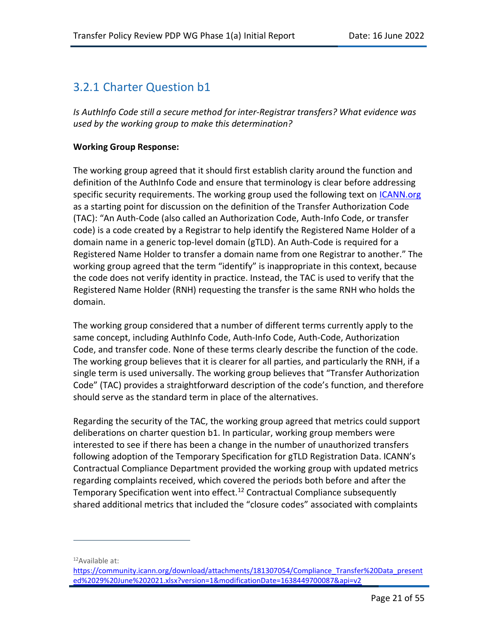## 3.2.1 Charter Question b1

*Is AuthInfo Code still a secure method for inter-Registrar transfers? What evidence was used by the working group to make this determination?*

#### **Working Group Response:**

The working group agreed that it should first establish clarity around the function and definition of the AuthInfo Code and ensure that terminology is clear before addressing specific security requirements. The working group used the following text on [ICANN.org](https://www.icann.org/resources/pages/auth-2013-05-03-en) as a starting point for discussion on the definition of the Transfer Authorization Code (TAC): "An Auth-Code (also called an Authorization Code, Auth-Info Code, or transfer code) is a code created by a Registrar to help identify the Registered Name Holder of a domain name in a generic top-level domain (gTLD). An Auth-Code is required for a Registered Name Holder to transfer a domain name from one Registrar to another." The working group agreed that the term "identify" is inappropriate in this context, because the code does not verify identity in practice. Instead, the TAC is used to verify that the Registered Name Holder (RNH) requesting the transfer is the same RNH who holds the domain.

The working group considered that a number of different terms currently apply to the same concept, including AuthInfo Code, Auth-Info Code, Auth-Code, Authorization Code, and transfer code. None of these terms clearly describe the function of the code. The working group believes that it is clearer for all parties, and particularly the RNH, if a single term is used universally. The working group believes that "Transfer Authorization Code" (TAC) provides a straightforward description of the code's function, and therefore should serve as the standard term in place of the alternatives.

Regarding the security of the TAC, the working group agreed that metrics could support deliberations on charter question b1. In particular, working group members were interested to see if there has been a change in the number of unauthorized transfers following adoption of the Temporary Specification for gTLD Registration Data. ICANN's Contractual Compliance Department provided the working group with updated metrics regarding complaints received, which covered the periods both before and after the Temporary Specification went into effect.<sup>12</sup> Contractual Compliance subsequently shared additional metrics that included the "closure codes" associated with complaints

<sup>12</sup>Available at:

[https://community.icann.org/download/attachments/181307054/Compliance\\_Transfer%20Data\\_present](https://community.icann.org/download/attachments/181307054/Compliance_Transfer%20Data_presented%2029%20June%202021.xlsx?version=1&modificationDate=1638449700087&api=v2) [ed%2029%20June%202021.xlsx?version=1&modificationDate=1638449700087&api=v2](https://community.icann.org/download/attachments/181307054/Compliance_Transfer%20Data_presented%2029%20June%202021.xlsx?version=1&modificationDate=1638449700087&api=v2)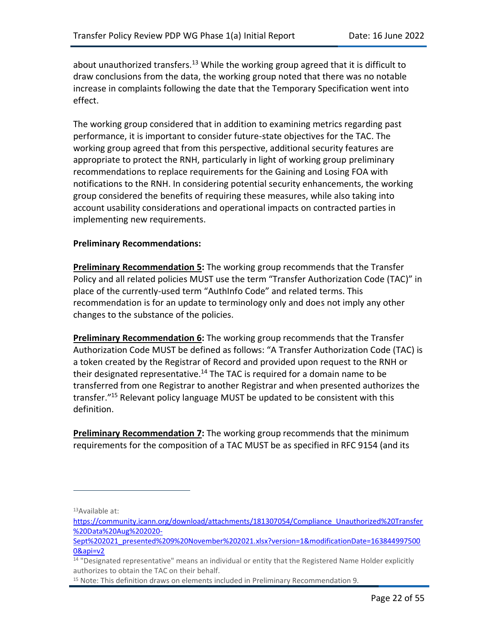about unauthorized transfers.<sup>13</sup> While the working group agreed that it is difficult to draw conclusions from the data, the working group noted that there was no notable increase in complaints following the date that the Temporary Specification went into effect.

The working group considered that in addition to examining metrics regarding past performance, it is important to consider future-state objectives for the TAC. The working group agreed that from this perspective, additional security features are appropriate to protect the RNH, particularly in light of working group preliminary recommendations to replace requirements for the Gaining and Losing FOA with notifications to the RNH. In considering potential security enhancements, the working group considered the benefits of requiring these measures, while also taking into account usability considerations and operational impacts on contracted parties in implementing new requirements.

#### **Preliminary Recommendations:**

<span id="page-21-0"></span>**Preliminary Recommendation 5:** The working group recommends that the Transfer Policy and all related policies MUST use the term "Transfer Authorization Code (TAC)" in place of the currently-used term "AuthInfo Code" and related terms. This recommendation is for an update to terminology only and does not imply any other changes to the substance of the policies.

<span id="page-21-1"></span>**Preliminary Recommendation 6:** The working group recommends that the Transfer Authorization Code MUST be defined as follows: "A Transfer Authorization Code (TAC) is a token created by the Registrar of Record and provided upon request to the RNH or their designated representative.<sup>14</sup> The TAC is required for a domain name to be transferred from one Registrar to another Registrar and when presented authorizes the transfer."<sup>15</sup> Relevant policy language MUST be updated to be consistent with this definition.

<span id="page-21-2"></span>**Preliminary Recommendation 7:** The working group recommends that the minimum requirements for the composition of a TAC MUST be as specified in RFC 9154 (and its

<sup>13</sup>Available at:

[https://community.icann.org/download/attachments/181307054/Compliance\\_Unauthorized%20Transfer](https://community.icann.org/download/attachments/181307054/Compliance_Unauthorized%20Transfer%20Data%20Aug%202020-Sept%202021_presented%209%20November%202021.xlsx?version=1&modificationDate=1638449975000&api=v2) [%20Data%20Aug%202020-](https://community.icann.org/download/attachments/181307054/Compliance_Unauthorized%20Transfer%20Data%20Aug%202020-Sept%202021_presented%209%20November%202021.xlsx?version=1&modificationDate=1638449975000&api=v2)

[Sept%202021\\_presented%209%20November%202021.xlsx?version=1&modificationDate=163844997500](https://community.icann.org/download/attachments/181307054/Compliance_Unauthorized%20Transfer%20Data%20Aug%202020-Sept%202021_presented%209%20November%202021.xlsx?version=1&modificationDate=1638449975000&api=v2) [0&api=v2](https://community.icann.org/download/attachments/181307054/Compliance_Unauthorized%20Transfer%20Data%20Aug%202020-Sept%202021_presented%209%20November%202021.xlsx?version=1&modificationDate=1638449975000&api=v2)

<sup>&</sup>lt;sup>14</sup> "Designated representative" means an individual or entity that the Registered Name Holder explicitly authorizes to obtain the TAC on their behalf.

<sup>15</sup> Note: This definition draws on elements included in Preliminary Recommendation 9.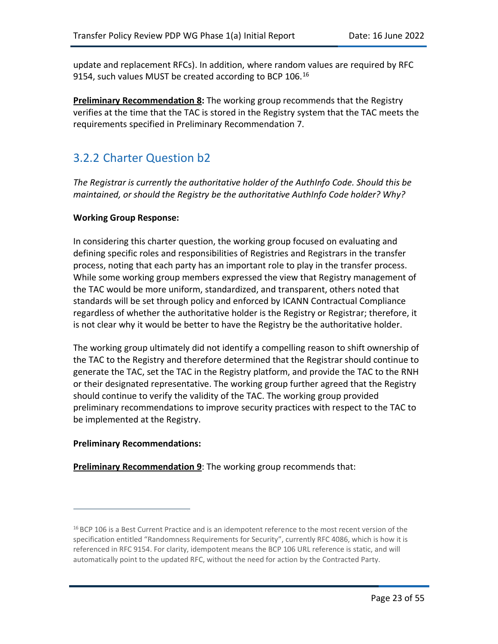update and replacement RFCs). In addition, where random values are required by RFC 9154, such values MUST be created according to BCP 106.<sup>16</sup>

<span id="page-22-0"></span>**Preliminary Recommendation 8:** The working group recommends that the Registry verifies at the time that the TAC is stored in the Registry system that the TAC meets the requirements specified in Preliminary Recommendation 7.

## 3.2.2 Charter Question b2

*The Registrar is currently the authoritative holder of the AuthInfo Code. Should this be maintained, or should the Registry be the authoritative AuthInfo Code holder? Why?*

#### **Working Group Response:**

In considering this charter question, the working group focused on evaluating and defining specific roles and responsibilities of Registries and Registrars in the transfer process, noting that each party has an important role to play in the transfer process. While some working group members expressed the view that Registry management of the TAC would be more uniform, standardized, and transparent, others noted that standards will be set through policy and enforced by ICANN Contractual Compliance regardless of whether the authoritative holder is the Registry or Registrar; therefore, it is not clear why it would be better to have the Registry be the authoritative holder.

The working group ultimately did not identify a compelling reason to shift ownership of the TAC to the Registry and therefore determined that the Registrar should continue to generate the TAC, set the TAC in the Registry platform, and provide the TAC to the RNH or their designated representative. The working group further agreed that the Registry should continue to verify the validity of the TAC. The working group provided preliminary recommendations to improve security practices with respect to the TAC to be implemented at the Registry.

#### **Preliminary Recommendations:**

<span id="page-22-1"></span>**Preliminary Recommendation 9**: The working group recommends that:

<sup>&</sup>lt;sup>16</sup> BCP 106 is a Best Current Practice and is an idempotent reference to the most recent version of the specification entitled "Randomness Requirements for Security", currently RFC 4086, which is how it is referenced in RFC 9154. For clarity, idempotent means the BCP 106 URL reference is static, and will automatically point to the updated RFC, without the need for action by the Contracted Party.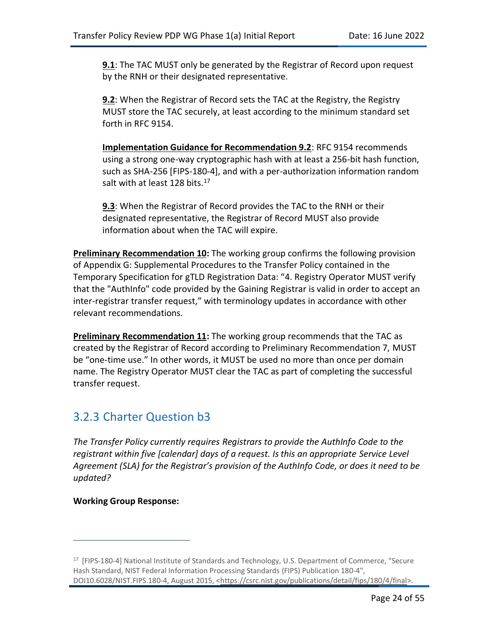**9.1**: The TAC MUST only be generated by the Registrar of Record upon request by the RNH or their designated representative.

**9.2**: When the Registrar of Record sets the TAC at the Registry, the Registry MUST store the TAC securely, at least according to the minimum standard set forth in RFC 9154.

**Implementation Guidance for Recommendation 9.2**: RFC 9154 recommends using a strong one-way cryptographic hash with at least a 256-bit hash function, such as SHA-256 [FIPS-180-4], and with a per-authorization information random salt with at least 128 bits.<sup>17</sup>

**9.3**: When the Registrar of Record provides the TAC to the RNH or their designated representative, the Registrar of Record MUST also provide information about when the TAC will expire.

<span id="page-23-0"></span>**Preliminary Recommendation 10:** The working group confirms the following provision of Appendix G: Supplemental Procedures to the Transfer Policy contained in the Temporary Specification for gTLD Registration Data: "4. Registry Operator MUST verify that the "AuthInfo" code provided by the Gaining Registrar is valid in order to accept an inter-registrar transfer request," with terminology updates in accordance with other relevant recommendations.

<span id="page-23-1"></span>**Preliminary Recommendation 11:** The working group recommends that the TAC as created by the Registrar of Record according to Preliminary Recommendation 7, MUST be "one-time use." In other words, it MUST be used no more than once per domain name. The Registry Operator MUST clear the TAC as part of completing the successful transfer request.

### 3.2.3 Charter Question b3

*The Transfer Policy currently requires Registrars to provide the AuthInfo Code to the registrant within five [calendar] days of a request. Is this an appropriate Service Level Agreement (SLA) for the Registrar's provision of the AuthInfo Code, or does it need to be updated?* 

**Working Group Response:** 

<sup>17</sup> [FIPS-180-4] National Institute of Standards and Technology, U.S. Department of Commerce, "Secure Hash Standard, NIST Federal Information Processing Standards (FIPS) Publication 180-4", DOI10.6028/NIST.FIPS.180-4, August 2015, [<https://csrc.nist.gov/publications/detail/fips/180/4/final>](https://csrc.nist.gov/publications/detail/fips/180/4/final).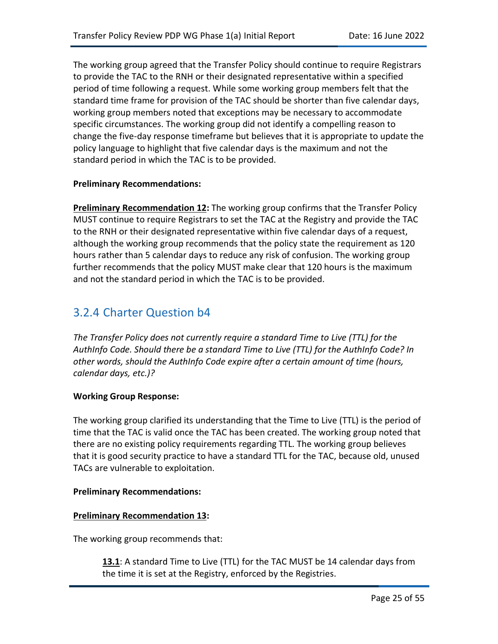The working group agreed that the Transfer Policy should continue to require Registrars to provide the TAC to the RNH or their designated representative within a specified period of time following a request. While some working group members felt that the standard time frame for provision of the TAC should be shorter than five calendar days, working group members noted that exceptions may be necessary to accommodate specific circumstances. The working group did not identify a compelling reason to change the five-day response timeframe but believes that it is appropriate to update the policy language to highlight that five calendar days is the maximum and not the standard period in which the TAC is to be provided.

#### **Preliminary Recommendations:**

<span id="page-24-0"></span>**Preliminary Recommendation 12:** The working group confirms that the Transfer Policy MUST continue to require Registrars to set the TAC at the Registry and provide the TAC to the RNH or their designated representative within five calendar days of a request, although the working group recommends that the policy state the requirement as 120 hours rather than 5 calendar days to reduce any risk of confusion. The working group further recommends that the policy MUST make clear that 120 hours is the maximum and not the standard period in which the TAC is to be provided.

## 3.2.4 Charter Question b4

*The Transfer Policy does not currently require a standard Time to Live (TTL) for the AuthInfo Code. Should there be a standard Time to Live (TTL) for the AuthInfo Code? In other words, should the AuthInfo Code expire after a certain amount of time (hours, calendar days, etc.)?*

#### **Working Group Response:**

The working group clarified its understanding that the Time to Live (TTL) is the period of time that the TAC is valid once the TAC has been created. The working group noted that there are no existing policy requirements regarding TTL. The working group believes that it is good security practice to have a standard TTL for the TAC, because old, unused TACs are vulnerable to exploitation.

#### **Preliminary Recommendations:**

#### <span id="page-24-1"></span>**Preliminary Recommendation 13:**

The working group recommends that:

**13.1**: A standard Time to Live (TTL) for the TAC MUST be 14 calendar days from the time it is set at the Registry, enforced by the Registries.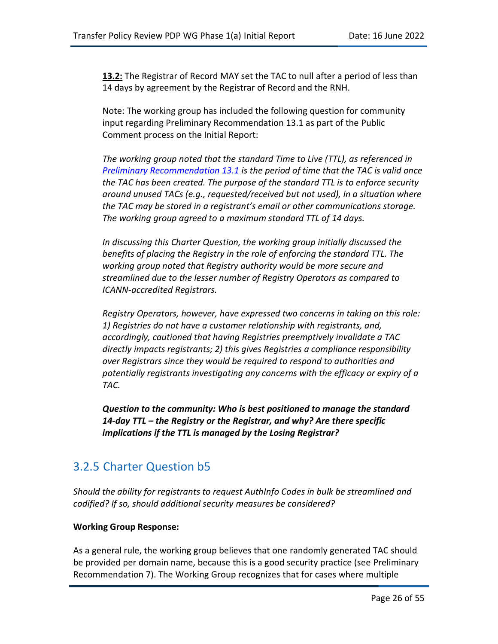**13.2:** The Registrar of Record MAY set the TAC to null after a period of less than 14 days by agreement by the Registrar of Record and the RNH.

Note: The working group has included the following question for community input regarding Preliminary Recommendation 13.1 as part of the Public Comment process on the Initial Report:

*The working group noted that the standard Time to Live (TTL), as referenced in [Preliminary Recommendation 13.1](https://docs.google.com/document/d/1clAqB1wBeOf9ZC5RMMxKrrUTs3N2WyaVYTIyVy_ODs4/edit) is the period of time that the TAC is valid once the TAC has been created. The purpose of the standard TTL is to enforce security around unused TACs (e.g., requested/received but not used), in a situation where the TAC may be stored in a registrant's email or other communications storage. The working group agreed to a maximum standard TTL of 14 days.*

*In discussing this Charter Question, the working group initially discussed the benefits of placing the Registry in the role of enforcing the standard TTL. The working group noted that Registry authority would be more secure and streamlined due to the lesser number of Registry Operators as compared to ICANN-accredited Registrars.*

*Registry Operators, however, have expressed two concerns in taking on this role: 1) Registries do not have a customer relationship with registrants, and, accordingly, cautioned that having Registries preemptively invalidate a TAC directly impacts registrants; 2) this gives Registries a compliance responsibility over Registrars since they would be required to respond to authorities and potentially registrants investigating any concerns with the efficacy or expiry of a TAC.*

*Question to the community: Who is best positioned to manage the standard 14-day TTL – the Registry or the Registrar, and why? Are there specific implications if the TTL is managed by the Losing Registrar?*

## 3.2.5 Charter Question b5

*Should the ability for registrants to request AuthInfo Codes in bulk be streamlined and codified? If so, should additional security measures be considered?*

#### **Working Group Response:**

As a general rule, the working group believes that one randomly generated TAC should be provided per domain name, because this is a good security practice (see Preliminary Recommendation 7). The Working Group recognizes that for cases where multiple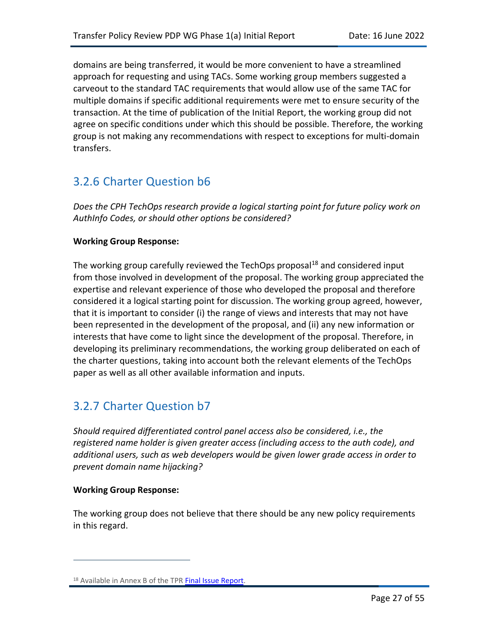domains are being transferred, it would be more convenient to have a streamlined approach for requesting and using TACs. Some working group members suggested a carveout to the standard TAC requirements that would allow use of the same TAC for multiple domains if specific additional requirements were met to ensure security of the transaction. At the time of publication of the Initial Report, the working group did not agree on specific conditions under which this should be possible. Therefore, the working group is not making any recommendations with respect to exceptions for multi-domain transfers.

## 3.2.6 Charter Question b6

*Does the CPH TechOps research provide a logical starting point for future policy work on AuthInfo Codes, or should other options be considered?*

#### **Working Group Response:**

The working group carefully reviewed the TechOps proposal<sup>18</sup> and considered input from those involved in development of the proposal. The working group appreciated the expertise and relevant experience of those who developed the proposal and therefore considered it a logical starting point for discussion. The working group agreed, however, that it is important to consider (i) the range of views and interests that may not have been represented in the development of the proposal, and (ii) any new information or interests that have come to light since the development of the proposal. Therefore, in developing its preliminary recommendations, the working group deliberated on each of the charter questions, taking into account both the relevant elements of the TechOps paper as well as all other available information and inputs.

## 3.2.7 Charter Question b7

*Should required differentiated control panel access also be considered, i.e., the registered name holder is given greater access (including access to the auth code), and additional users, such as web developers would be given lower grade access in order to prevent domain name hijacking?*

#### **Working Group Response:**

The working group does not believe that there should be any new policy requirements in this regard.

<sup>18</sup> Available in Annex B of the TP[R Final Issue Report.](https://gnso.icann.org/sites/default/files/file/field-file-attach/final-issue-report-pdp-transfer-policy-review-12jan21-en.pdf)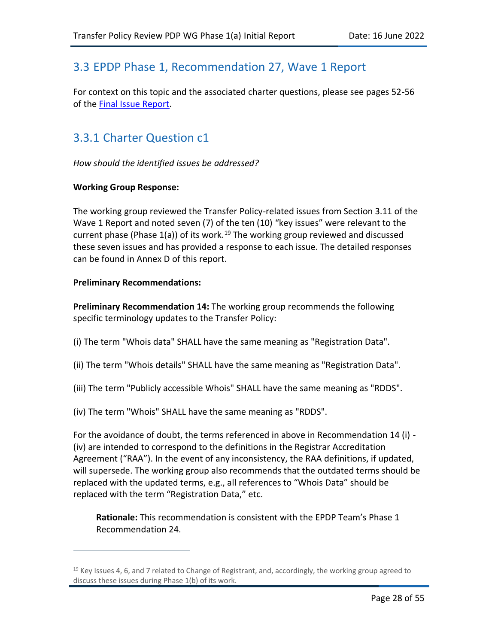## 3.3 EPDP Phase 1, Recommendation 27, Wave 1 Report

For context on this topic and the associated charter questions, please see pages 52-56 of the [Final Issue Report.](https://gnso.icann.org/sites/default/files/file/field-file-attach/final-issue-report-pdp-transfer-policy-review-12jan21-en.pdf)

## 3.3.1 Charter Question c1

*How should the identified issues be addressed?*

#### **Working Group Response:**

The working group reviewed the Transfer Policy-related issues from Section 3.11 of the Wave 1 Report and noted seven (7) of the ten (10) "key issues" were relevant to the current phase (Phase  $1(a)$ ) of its work.<sup>19</sup> The working group reviewed and discussed these seven issues and has provided a response to each issue. The detailed responses can be found in Annex D of this report.

#### **Preliminary Recommendations:**

<span id="page-27-0"></span>**Preliminary Recommendation 14:** The working group recommends the following specific terminology updates to the Transfer Policy:

- (i) The term "Whois data" SHALL have the same meaning as "Registration Data".
- (ii) The term "Whois details" SHALL have the same meaning as "Registration Data".
- (iii) The term "Publicly accessible Whois" SHALL have the same meaning as "RDDS".
- (iv) The term "Whois" SHALL have the same meaning as "RDDS".

For the avoidance of doubt, the terms referenced in above in Recommendation 14 (i) - (iv) are intended to correspond to the definitions in the Registrar Accreditation Agreement ("RAA"). In the event of any inconsistency, the RAA definitions, if updated, will supersede. The working group also recommends that the outdated terms should be replaced with the updated terms, e.g., all references to "Whois Data" should be replaced with the term "Registration Data," etc.

**Rationale:** This recommendation is consistent with the EPDP Team's Phase 1 Recommendation 24.

 $19$  Key Issues 4, 6, and 7 related to Change of Registrant, and, accordingly, the working group agreed to discuss these issues during Phase 1(b) of its work.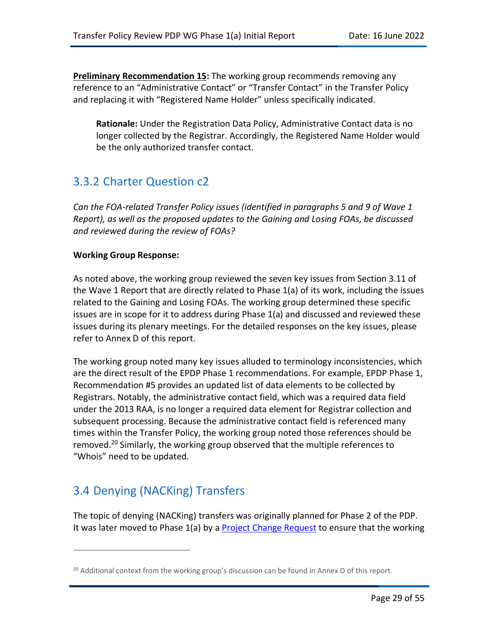<span id="page-28-0"></span>**Preliminary Recommendation 15:** The working group recommends removing any reference to an "Administrative Contact" or "Transfer Contact" in the Transfer Policy and replacing it with "Registered Name Holder" unless specifically indicated.

**Rationale:** Under the Registration Data Policy, Administrative Contact data is no longer collected by the Registrar. Accordingly, the Registered Name Holder would be the only authorized transfer contact.

## 3.3.2 Charter Question c2

*Can the FOA-related Transfer Policy issues (identified in paragraphs 5 and 9 of Wave 1 Report), as well as the proposed updates to the Gaining and Losing FOAs, be discussed and reviewed during the review of FOAs?*

#### **Working Group Response:**

As noted above, the working group reviewed the seven key issues from Section 3.11 of the Wave 1 Report that are directly related to Phase 1(a) of its work, including the issues related to the Gaining and Losing FOAs. The working group determined these specific issues are in scope for it to address during Phase 1(a) and discussed and reviewed these issues during its plenary meetings. For the detailed responses on the key issues, please refer to Annex D of this report.

The working group noted many key issues alluded to terminology inconsistencies, which are the direct result of the EPDP Phase 1 recommendations. For example, EPDP Phase 1, Recommendation #5 provides an updated list of data elements to be collected by Registrars. Notably, the administrative contact field, which was a required data field under the 2013 RAA, is no longer a required data element for Registrar collection and subsequent processing. Because the administrative contact field is referenced many times within the Transfer Policy, the working group noted those references should be removed.<sup>20</sup> Similarly, the working group observed that the multiple references to "Whois" need to be updated.

## 3.4 Denying (NACKing) Transfers

The topic of denying (NACKing) transfers was originally planned for Phase 2 of the PDP. It was later moved to Phase 1(a) by a [Project Change Request](https://gnso.icann.org/en/council/resolutions/2020-current#202112) to ensure that the working

 $20$  Additional context from the working group's discussion can be found in Annex D of this report.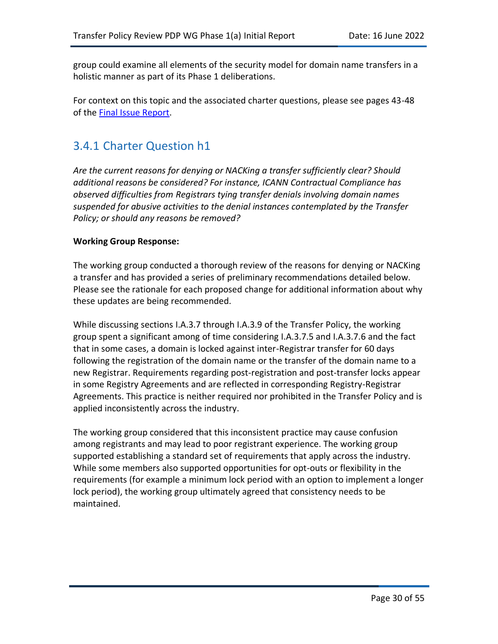group could examine all elements of the security model for domain name transfers in a holistic manner as part of its Phase 1 deliberations.

For context on this topic and the associated charter questions, please see pages 43-48 of the [Final Issue Report.](https://gnso.icann.org/sites/default/files/file/field-file-attach/final-issue-report-pdp-transfer-policy-review-12jan21-en.pdf)

## 3.4.1 Charter Question h1

*Are the current reasons for denying or NACKing a transfer sufficiently clear? Should additional reasons be considered? For instance, ICANN Contractual Compliance has observed difficulties from Registrars tying transfer denials involving domain names suspended for abusive activities to the denial instances contemplated by the Transfer Policy; or should any reasons be removed?*

#### **Working Group Response:**

The working group conducted a thorough review of the reasons for denying or NACKing a transfer and has provided a series of preliminary recommendations detailed below. Please see the rationale for each proposed change for additional information about why these updates are being recommended.

While discussing sections I.A.3.7 through I.A.3.9 of the Transfer Policy, the working group spent a significant among of time considering I.A.3.7.5 and I.A.3.7.6 and the fact that in some cases, a domain is locked against inter-Registrar transfer for 60 days following the registration of the domain name or the transfer of the domain name to a new Registrar. Requirements regarding post-registration and post-transfer locks appear in some Registry Agreements and are reflected in corresponding Registry-Registrar Agreements. This practice is neither required nor prohibited in the Transfer Policy and is applied inconsistently across the industry.

The working group considered that this inconsistent practice may cause confusion among registrants and may lead to poor registrant experience. The working group supported establishing a standard set of requirements that apply across the industry. While some members also supported opportunities for opt-outs or flexibility in the requirements (for example a minimum lock period with an option to implement a longer lock period), the working group ultimately agreed that consistency needs to be maintained.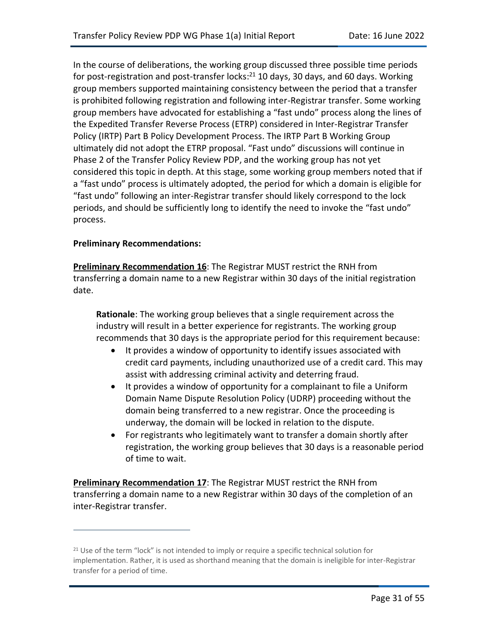In the course of deliberations, the working group discussed three possible time periods for post-registration and post-transfer locks:<sup>21</sup> 10 days, 30 days, and 60 days. Working group members supported maintaining consistency between the period that a transfer is prohibited following registration and following inter-Registrar transfer. Some working group members have advocated for establishing a "fast undo" process along the lines of the Expedited Transfer Reverse Process (ETRP) considered in Inter-Registrar Transfer Policy (IRTP) Part B Policy Development Process. The IRTP Part B Working Group ultimately did not adopt the ETRP proposal. "Fast undo" discussions will continue in Phase 2 of the Transfer Policy Review PDP, and the working group has not yet considered this topic in depth. At this stage, some working group members noted that if a "fast undo" process is ultimately adopted, the period for which a domain is eligible for "fast undo" following an inter-Registrar transfer should likely correspond to the lock periods, and should be sufficiently long to identify the need to invoke the "fast undo" process.

#### **Preliminary Recommendations:**

<span id="page-30-0"></span>**Preliminary Recommendation 16**: The Registrar MUST restrict the RNH from transferring a domain name to a new Registrar within 30 days of the initial registration date.

**Rationale**: The working group believes that a single requirement across the industry will result in a better experience for registrants. The working group recommends that 30 days is the appropriate period for this requirement because:

- It provides a window of opportunity to identify issues associated with credit card payments, including unauthorized use of a credit card. This may assist with addressing criminal activity and deterring fraud.
- It provides a window of opportunity for a complainant to file a Uniform Domain Name Dispute Resolution Policy (UDRP) proceeding without the domain being transferred to a new registrar. Once the proceeding is underway, the domain will be locked in relation to the dispute.
- For registrants who legitimately want to transfer a domain shortly after registration, the working group believes that 30 days is a reasonable period of time to wait.

<span id="page-30-1"></span>**Preliminary Recommendation 17:** The Registrar MUST restrict the RNH from transferring a domain name to a new Registrar within 30 days of the completion of an inter-Registrar transfer.

<sup>&</sup>lt;sup>21</sup> Use of the term "lock" is not intended to imply or require a specific technical solution for implementation. Rather, it is used as shorthand meaning that the domain is ineligible for inter-Registrar transfer for a period of time.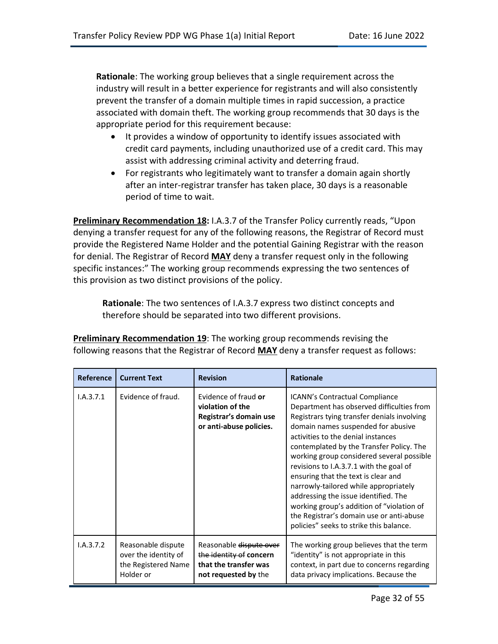**Rationale**: The working group believes that a single requirement across the industry will result in a better experience for registrants and will also consistently prevent the transfer of a domain multiple times in rapid succession, a practice associated with domain theft. The working group recommends that 30 days is the appropriate period for this requirement because:

- It provides a window of opportunity to identify issues associated with credit card payments, including unauthorized use of a credit card. This may assist with addressing criminal activity and deterring fraud.
- For registrants who legitimately want to transfer a domain again shortly after an inter-registrar transfer has taken place, 30 days is a reasonable period of time to wait.

<span id="page-31-0"></span>**Preliminary Recommendation 18:** I.A.3.7 of the Transfer Policy currently reads, "Upon denying a transfer request for any of the following reasons, the Registrar of Record must provide the Registered Name Holder and the potential Gaining Registrar with the reason for denial. The Registrar of Record **MAY** deny a transfer request only in the following specific instances:" The working group recommends expressing the two sentences of this provision as two distinct provisions of the policy.

**Rationale**: The two sentences of I.A.3.7 express two distinct concepts and therefore should be separated into two different provisions.

| <b>Reference</b> | <b>Current Text</b>                                                            | <b>Revision</b>                                                                                     | <b>Rationale</b>                                                                                                                                                                                                                                                                                                                                                                                                                                                                                                                                                                                              |
|------------------|--------------------------------------------------------------------------------|-----------------------------------------------------------------------------------------------------|---------------------------------------------------------------------------------------------------------------------------------------------------------------------------------------------------------------------------------------------------------------------------------------------------------------------------------------------------------------------------------------------------------------------------------------------------------------------------------------------------------------------------------------------------------------------------------------------------------------|
| I.A.3.7.1        | Evidence of fraud.                                                             | Evidence of fraud or<br>violation of the<br>Registrar's domain use<br>or anti-abuse policies.       | <b>ICANN's Contractual Compliance</b><br>Department has observed difficulties from<br>Registrars tying transfer denials involving<br>domain names suspended for abusive<br>activities to the denial instances<br>contemplated by the Transfer Policy. The<br>working group considered several possible<br>revisions to I.A.3.7.1 with the goal of<br>ensuring that the text is clear and<br>narrowly-tailored while appropriately<br>addressing the issue identified. The<br>working group's addition of "violation of<br>the Registrar's domain use or anti-abuse<br>policies" seeks to strike this balance. |
| 1.A.3.7.2        | Reasonable dispute<br>over the identity of<br>the Registered Name<br>Holder or | Reasonable dispute over<br>the identity of concern<br>that the transfer was<br>not requested by the | The working group believes that the term<br>"identity" is not appropriate in this<br>context, in part due to concerns regarding<br>data privacy implications. Because the                                                                                                                                                                                                                                                                                                                                                                                                                                     |

<span id="page-31-1"></span>**Preliminary Recommendation 19**: The working group recommends revising the following reasons that the Registrar of Record **MAY** deny a transfer request as follows: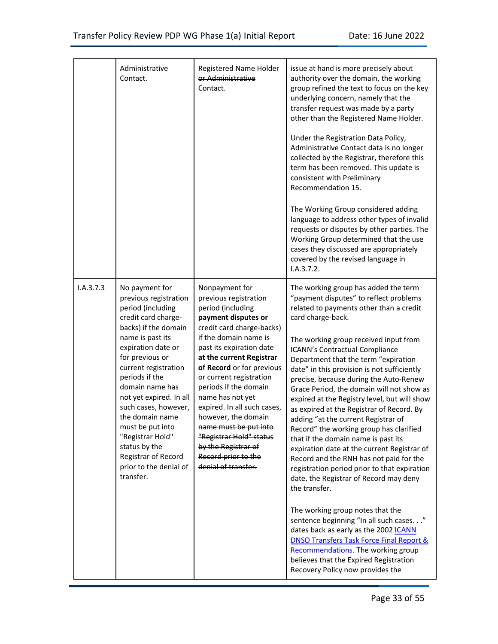|           | Administrative<br>Contact.                                                                                                                                                                                                                                                                                                                                                                                                         | Registered Name Holder<br>or Administrative<br>Contact.                                                                                                                                                                                                                                                                                                                                                                                                                               | issue at hand is more precisely about<br>authority over the domain, the working<br>group refined the text to focus on the key<br>underlying concern, namely that the<br>transfer request was made by a party<br>other than the Registered Name Holder.<br>Under the Registration Data Policy,<br>Administrative Contact data is no longer<br>collected by the Registrar, therefore this<br>term has been removed. This update is<br>consistent with Preliminary<br>Recommendation 15.<br>The Working Group considered adding<br>language to address other types of invalid<br>requests or disputes by other parties. The<br>Working Group determined that the use<br>cases they discussed are appropriately<br>covered by the revised language in<br>I.A.3.7.2.                                                                                                                                                                                                                                                                                                                                                                      |
|-----------|------------------------------------------------------------------------------------------------------------------------------------------------------------------------------------------------------------------------------------------------------------------------------------------------------------------------------------------------------------------------------------------------------------------------------------|---------------------------------------------------------------------------------------------------------------------------------------------------------------------------------------------------------------------------------------------------------------------------------------------------------------------------------------------------------------------------------------------------------------------------------------------------------------------------------------|--------------------------------------------------------------------------------------------------------------------------------------------------------------------------------------------------------------------------------------------------------------------------------------------------------------------------------------------------------------------------------------------------------------------------------------------------------------------------------------------------------------------------------------------------------------------------------------------------------------------------------------------------------------------------------------------------------------------------------------------------------------------------------------------------------------------------------------------------------------------------------------------------------------------------------------------------------------------------------------------------------------------------------------------------------------------------------------------------------------------------------------|
| I.A.3.7.3 | No payment for<br>previous registration<br>period (including<br>credit card charge-<br>backs) if the domain<br>name is past its<br>expiration date or<br>for previous or<br>current registration<br>periods if the<br>domain name has<br>not yet expired. In all<br>such cases, however,<br>the domain name<br>must be put into<br>"Registrar Hold"<br>status by the<br>Registrar of Record<br>prior to the denial of<br>transfer. | Nonpayment for<br>previous registration<br>period (including<br>payment disputes or<br>credit card charge-backs)<br>if the domain name is<br>past its expiration date<br>at the current Registrar<br>of Record or for previous<br>or current registration<br>periods if the domain<br>name has not yet<br>expired. In all such cases,<br>however, the domain<br>name must be put into<br>"Registrar Hold" status<br>by the Registrar of<br>Record prior to the<br>denial of transfer. | The working group has added the term<br>"payment disputes" to reflect problems<br>related to payments other than a credit<br>card charge-back.<br>The working group received input from<br>ICANN's Contractual Compliance<br>Department that the term "expiration<br>date" in this provision is not sufficiently<br>precise, because during the Auto-Renew<br>Grace Period, the domain will not show as<br>expired at the Registry level, but will show<br>as expired at the Registrar of Record. By<br>adding "at the current Registrar of<br>Record" the working group has clarified<br>that if the domain name is past its<br>expiration date at the current Registrar of<br>Record and the RNH has not paid for the<br>registration period prior to that expiration<br>date, the Registrar of Record may deny<br>the transfer.<br>The working group notes that the<br>sentence beginning "In all such cases"<br>dates back as early as the 2002 ICANN<br><b>DNSO Transfers Task Force Final Report &amp;</b><br>Recommendations. The working group<br>believes that the Expired Registration<br>Recovery Policy now provides the |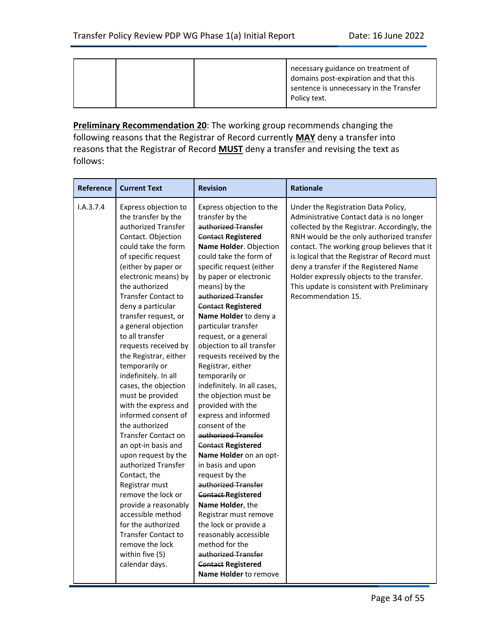| Policy text. |  |  |  | necessary guidance on treatment of<br>domains post-expiration and that this<br>sentence is unnecessary in the Transfer |
|--------------|--|--|--|------------------------------------------------------------------------------------------------------------------------|
|--------------|--|--|--|------------------------------------------------------------------------------------------------------------------------|

<span id="page-33-0"></span>**Preliminary Recommendation 20**: The working group recommends changing the following reasons that the Registrar of Record currently **MAY** deny a transfer into reasons that the Registrar of Record **MUST** deny a transfer and revising the text as follows:

| <b>Reference</b> | <b>Current Text</b>                                                                                                                                                                                                                                                                                                                                                                                                                                                                                                                                                                                                                                                                                                                                                                                                                                      | <b>Revision</b>                                                                                                                                                                                                                                                                                                                                                                                                                                                                                                                                                                                                                                                                                                                                                                                                                                                                                                                                       | <b>Rationale</b>                                                                                                                                                                                                                                                                                                                                                                                                                       |
|------------------|----------------------------------------------------------------------------------------------------------------------------------------------------------------------------------------------------------------------------------------------------------------------------------------------------------------------------------------------------------------------------------------------------------------------------------------------------------------------------------------------------------------------------------------------------------------------------------------------------------------------------------------------------------------------------------------------------------------------------------------------------------------------------------------------------------------------------------------------------------|-------------------------------------------------------------------------------------------------------------------------------------------------------------------------------------------------------------------------------------------------------------------------------------------------------------------------------------------------------------------------------------------------------------------------------------------------------------------------------------------------------------------------------------------------------------------------------------------------------------------------------------------------------------------------------------------------------------------------------------------------------------------------------------------------------------------------------------------------------------------------------------------------------------------------------------------------------|----------------------------------------------------------------------------------------------------------------------------------------------------------------------------------------------------------------------------------------------------------------------------------------------------------------------------------------------------------------------------------------------------------------------------------------|
| I.A.3.7.4        | Express objection to<br>the transfer by the<br>authorized Transfer<br>Contact. Objection<br>could take the form<br>of specific request<br>(either by paper or<br>electronic means) by<br>the authorized<br><b>Transfer Contact to</b><br>deny a particular<br>transfer request, or<br>a general objection<br>to all transfer<br>requests received by<br>the Registrar, either<br>temporarily or<br>indefinitely. In all<br>cases, the objection<br>must be provided<br>with the express and<br>informed consent of<br>the authorized<br><b>Transfer Contact on</b><br>an opt-in basis and<br>upon request by the<br>authorized Transfer<br>Contact, the<br>Registrar must<br>remove the lock or<br>provide a reasonably<br>accessible method<br>for the authorized<br><b>Transfer Contact to</b><br>remove the lock<br>within five (5)<br>calendar days. | Express objection to the<br>transfer by the<br>authorized Transfer<br><b>Contact Registered</b><br>Name Holder. Objection<br>could take the form of<br>specific request (either<br>by paper or electronic<br>means) by the<br>authorized Transfer<br><b>Contact Registered</b><br>Name Holder to deny a<br>particular transfer<br>request, or a general<br>objection to all transfer<br>requests received by the<br>Registrar, either<br>temporarily or<br>indefinitely. In all cases,<br>the objection must be<br>provided with the<br>express and informed<br>consent of the<br>authorized Transfer<br><b>Contact Registered</b><br>Name Holder on an opt-<br>in basis and upon<br>request by the<br>authorized Transfer<br><b>Contact Registered</b><br>Name Holder, the<br>Registrar must remove<br>the lock or provide a<br>reasonably accessible<br>method for the<br>authorized Transfer<br><b>Contact Registered</b><br>Name Holder to remove | Under the Registration Data Policy,<br>Administrative Contact data is no longer<br>collected by the Registrar. Accordingly, the<br>RNH would be the only authorized transfer<br>contact. The working group believes that it<br>is logical that the Registrar of Record must<br>deny a transfer if the Registered Name<br>Holder expressly objects to the transfer.<br>This update is consistent with Preliminary<br>Recommendation 15. |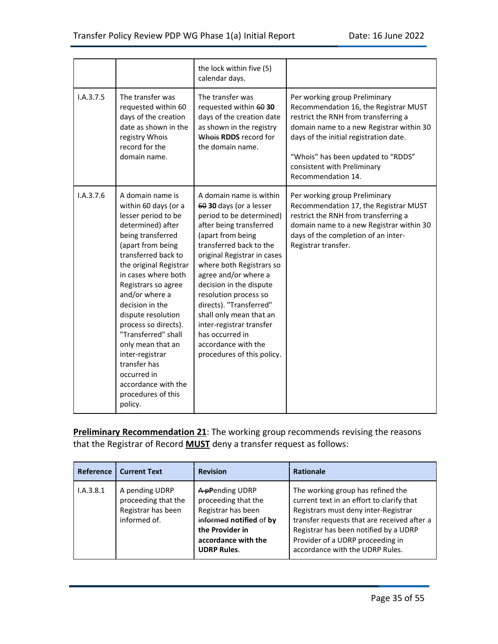|           |                                                                                                                                                                                                                                                                                                                                                                                                                                                                        | the lock within five (5)<br>calendar days.                                                                                                                                                                                                                                                                                                                                                                                                                 |                                                                                                                                                                                                                                                                                                 |
|-----------|------------------------------------------------------------------------------------------------------------------------------------------------------------------------------------------------------------------------------------------------------------------------------------------------------------------------------------------------------------------------------------------------------------------------------------------------------------------------|------------------------------------------------------------------------------------------------------------------------------------------------------------------------------------------------------------------------------------------------------------------------------------------------------------------------------------------------------------------------------------------------------------------------------------------------------------|-------------------------------------------------------------------------------------------------------------------------------------------------------------------------------------------------------------------------------------------------------------------------------------------------|
| I.A.3.7.5 | The transfer was<br>requested within 60<br>days of the creation<br>date as shown in the<br>registry Whois<br>record for the<br>domain name.                                                                                                                                                                                                                                                                                                                            | The transfer was<br>requested within 60 30<br>days of the creation date<br>as shown in the registry<br>Whois RDDS record for<br>the domain name.                                                                                                                                                                                                                                                                                                           | Per working group Preliminary<br>Recommendation 16, the Registrar MUST<br>restrict the RNH from transferring a<br>domain name to a new Registrar within 30<br>days of the initial registration date.<br>"Whois" has been updated to "RDDS"<br>consistent with Preliminary<br>Recommendation 14. |
| I.A.3.7.6 | A domain name is<br>within 60 days (or a<br>lesser period to be<br>determined) after<br>being transferred<br>(apart from being<br>transferred back to<br>the original Registrar<br>in cases where both<br>Registrars so agree<br>and/or where a<br>decision in the<br>dispute resolution<br>process so directs).<br>"Transferred" shall<br>only mean that an<br>inter-registrar<br>transfer has<br>occurred in<br>accordance with the<br>procedures of this<br>policy. | A domain name is within<br>60 30 days (or a lesser<br>period to be determined)<br>after being transferred<br>(apart from being<br>transferred back to the<br>original Registrar in cases<br>where both Registrars so<br>agree and/or where a<br>decision in the dispute<br>resolution process so<br>directs). "Transferred"<br>shall only mean that an<br>inter-registrar transfer<br>has occurred in<br>accordance with the<br>procedures of this policy. | Per working group Preliminary<br>Recommendation 17, the Registrar MUST<br>restrict the RNH from transferring a<br>domain name to a new Registrar within 30<br>days of the completion of an inter-<br>Registrar transfer.                                                                        |

<span id="page-34-0"></span>**Preliminary Recommendation 21**: The working group recommends revising the reasons that the Registrar of Record **MUST** deny a transfer request as follows:

|           | Reference   Current Text                                                    | <b>Revision</b>                                                                                                                                         | <b>Rationale</b>                                                                                                                                                                                                                                                                      |
|-----------|-----------------------------------------------------------------------------|---------------------------------------------------------------------------------------------------------------------------------------------------------|---------------------------------------------------------------------------------------------------------------------------------------------------------------------------------------------------------------------------------------------------------------------------------------|
| I.A.3.8.1 | A pending UDRP<br>proceeding that the<br>Registrar has been<br>informed of. | A pPending UDRP<br>proceeding that the<br>Registrar has been<br>informed notified of by<br>the Provider in<br>accordance with the<br><b>UDRP Rules.</b> | The working group has refined the<br>current text in an effort to clarify that<br>Registrars must deny inter-Registrar<br>transfer requests that are received after a<br>Registrar has been notified by a UDRP<br>Provider of a UDRP proceeding in<br>accordance with the UDRP Rules. |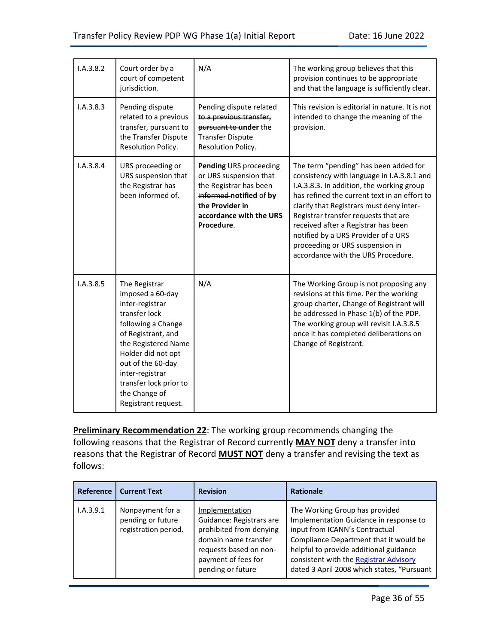| I.A.3.8.2 | Court order by a<br>court of competent<br>jurisdiction.                                                                                                                                                                                                                  | N/A                                                                                                                                                               | The working group believes that this<br>provision continues to be appropriate<br>and that the language is sufficiently clear.                                                                                                                                                                                                                                                                                               |
|-----------|--------------------------------------------------------------------------------------------------------------------------------------------------------------------------------------------------------------------------------------------------------------------------|-------------------------------------------------------------------------------------------------------------------------------------------------------------------|-----------------------------------------------------------------------------------------------------------------------------------------------------------------------------------------------------------------------------------------------------------------------------------------------------------------------------------------------------------------------------------------------------------------------------|
| I.A.3.8.3 | Pending dispute<br>related to a previous<br>transfer, pursuant to<br>the Transfer Dispute<br>Resolution Policy.                                                                                                                                                          | Pending dispute related<br>to a previous transfer,<br>pursuant to under the<br><b>Transfer Dispute</b><br>Resolution Policy.                                      | This revision is editorial in nature. It is not<br>intended to change the meaning of the<br>provision.                                                                                                                                                                                                                                                                                                                      |
| I.A.3.8.4 | URS proceeding or<br>URS suspension that<br>the Registrar has<br>been informed of.                                                                                                                                                                                       | Pending URS proceeding<br>or URS suspension that<br>the Registrar has been<br>informed notified of by<br>the Provider in<br>accordance with the URS<br>Procedure. | The term "pending" has been added for<br>consistency with language in I.A.3.8.1 and<br>I.A.3.8.3. In addition, the working group<br>has refined the current text in an effort to<br>clarify that Registrars must deny inter-<br>Registrar transfer requests that are<br>received after a Registrar has been<br>notified by a URS Provider of a URS<br>proceeding or URS suspension in<br>accordance with the URS Procedure. |
| I.A.3.8.5 | The Registrar<br>imposed a 60-day<br>inter-registrar<br>transfer lock<br>following a Change<br>of Registrant, and<br>the Registered Name<br>Holder did not opt<br>out of the 60-day<br>inter-registrar<br>transfer lock prior to<br>the Change of<br>Registrant request. | N/A                                                                                                                                                               | The Working Group is not proposing any<br>revisions at this time. Per the working<br>group charter, Change of Registrant will<br>be addressed in Phase 1(b) of the PDP.<br>The working group will revisit I.A.3.8.5<br>once it has completed deliberations on<br>Change of Registrant.                                                                                                                                      |

<span id="page-35-0"></span>**Preliminary Recommendation 22**: The working group recommends changing the following reasons that the Registrar of Record currently **MAY NOT** deny a transfer into reasons that the Registrar of Record **MUST NOT** deny a transfer and revising the text as follows:

| <b>Reference</b> | <b>Current Text</b>                                           | <b>Revision</b>                                                                                                                                                     | <b>Rationale</b>                                                                                                                                                                                                                                                                       |
|------------------|---------------------------------------------------------------|---------------------------------------------------------------------------------------------------------------------------------------------------------------------|----------------------------------------------------------------------------------------------------------------------------------------------------------------------------------------------------------------------------------------------------------------------------------------|
| I.A.3.9.1        | Nonpayment for a<br>pending or future<br>registration period. | Implementation<br>Guidance: Registrars are<br>prohibited from denying<br>domain name transfer<br>requests based on non-<br>payment of fees for<br>pending or future | The Working Group has provided<br>Implementation Guidance in response to<br>input from ICANN's Contractual<br>Compliance Department that it would be<br>helpful to provide additional guidance<br>consistent with the Registrar Advisory<br>dated 3 April 2008 which states, "Pursuant |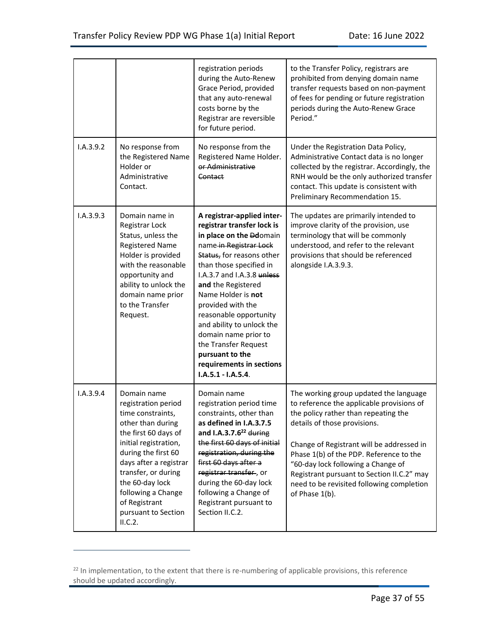|           |                                                                                                                                                                                                                                                                                                   | registration periods<br>during the Auto-Renew<br>Grace Period, provided<br>that any auto-renewal<br>costs borne by the<br>Registrar are reversible<br>for future period.                                                                                                                                                                                                                                                                           | to the Transfer Policy, registrars are<br>prohibited from denying domain name<br>transfer requests based on non-payment<br>of fees for pending or future registration<br>periods during the Auto-Renew Grace<br>Period."                                                                                                                                                                               |
|-----------|---------------------------------------------------------------------------------------------------------------------------------------------------------------------------------------------------------------------------------------------------------------------------------------------------|----------------------------------------------------------------------------------------------------------------------------------------------------------------------------------------------------------------------------------------------------------------------------------------------------------------------------------------------------------------------------------------------------------------------------------------------------|--------------------------------------------------------------------------------------------------------------------------------------------------------------------------------------------------------------------------------------------------------------------------------------------------------------------------------------------------------------------------------------------------------|
| I.A.3.9.2 | No response from<br>the Registered Name<br>Holder or<br>Administrative<br>Contact.                                                                                                                                                                                                                | No response from the<br>Registered Name Holder.<br>or Administrative<br>Contact                                                                                                                                                                                                                                                                                                                                                                    | Under the Registration Data Policy,<br>Administrative Contact data is no longer<br>collected by the registrar. Accordingly, the<br>RNH would be the only authorized transfer<br>contact. This update is consistent with<br>Preliminary Recommendation 15.                                                                                                                                              |
| I.A.3.9.3 | Domain name in<br>Registrar Lock<br>Status, unless the<br><b>Registered Name</b><br>Holder is provided<br>with the reasonable<br>opportunity and<br>ability to unlock the<br>domain name prior<br>to the Transfer<br>Request.                                                                     | A registrar-applied inter-<br>registrar transfer lock is<br>in place on the Ddomain<br>name in Registrar Lock<br>Status, for reasons other<br>than those specified in<br>I.A.3.7 and I.A.3.8 unless<br>and the Registered<br>Name Holder is not<br>provided with the<br>reasonable opportunity<br>and ability to unlock the<br>domain name prior to<br>the Transfer Request<br>pursuant to the<br>requirements in sections<br>$I.A.5.1 - I.A.5.4.$ | The updates are primarily intended to<br>improve clarity of the provision, use<br>terminology that will be commonly<br>understood, and refer to the relevant<br>provisions that should be referenced<br>alongside I.A.3.9.3.                                                                                                                                                                           |
| I.A.3.9.4 | Domain name<br>registration period<br>time constraints,<br>other than during<br>the first 60 days of<br>initial registration,<br>during the first 60<br>days after a registrar<br>transfer, or during<br>the 60-day lock<br>following a Change<br>of Registrant<br>pursuant to Section<br>II.C.2. | Domain name<br>registration period time<br>constraints, other than<br>as defined in I.A.3.7.5<br>and I.A.3.7.6 <sup>22</sup> during<br>the first 60 days of initial<br>registration, during the<br>first 60 days after a<br>registrar transfer, or<br>during the 60-day lock<br>following a Change of<br>Registrant pursuant to<br>Section II.C.2.                                                                                                 | The working group updated the language<br>to reference the applicable provisions of<br>the policy rather than repeating the<br>details of those provisions.<br>Change of Registrant will be addressed in<br>Phase 1(b) of the PDP. Reference to the<br>"60-day lock following a Change of<br>Registrant pursuant to Section II.C.2" may<br>need to be revisited following completion<br>of Phase 1(b). |

<sup>&</sup>lt;sup>22</sup> In implementation, to the extent that there is re-numbering of applicable provisions, this reference should be updated accordingly.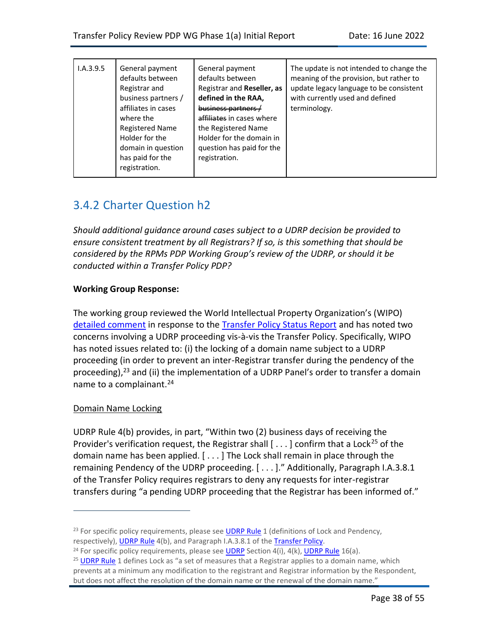| I.A.3.9.5 | General payment<br>defaults between<br>Registrar and<br>business partners /<br>affiliates in cases<br>where the<br><b>Registered Name</b><br>Holder for the<br>domain in question<br>has paid for the<br>registration. | General payment<br>defaults between<br>Registrar and Reseller, as<br>defined in the RAA,<br>business partners /<br>affiliates in cases where<br>the Registered Name<br>Holder for the domain in<br>question has paid for the<br>registration. | The update is not intended to change the<br>meaning of the provision, but rather to<br>update legacy language to be consistent<br>with currently used and defined<br>terminology. |
|-----------|------------------------------------------------------------------------------------------------------------------------------------------------------------------------------------------------------------------------|-----------------------------------------------------------------------------------------------------------------------------------------------------------------------------------------------------------------------------------------------|-----------------------------------------------------------------------------------------------------------------------------------------------------------------------------------|
|-----------|------------------------------------------------------------------------------------------------------------------------------------------------------------------------------------------------------------------------|-----------------------------------------------------------------------------------------------------------------------------------------------------------------------------------------------------------------------------------------------|-----------------------------------------------------------------------------------------------------------------------------------------------------------------------------------|

## 3.4.2 Charter Question h2

*Should additional guidance around cases subject to a UDRP decision be provided to ensure consistent treatment by all Registrars? If so, is this something that should be considered by the RPMs PDP Working Group's review of the UDRP, or should it be conducted within a Transfer Policy PDP?*

#### **Working Group Response:**

The working group reviewed the World Intellectual Property Organization's (WIPO) [detailed comment](https://mm.icann.org/pipermail/comments-irtp-status-14nov18/attachments/20190107/1b8606b2/WIPOCentercommentsonIRTPpolicystatusreport-0001.pdf) in response to the [Transfer Policy Status Report](https://www.icann.org/uploads/ckeditor/IRTPPSRRevised_GNSO_Final.pdf) and has noted two concerns involving a UDRP proceeding vis-à-vis the Transfer Policy. Specifically, WIPO has noted issues related to: (i) the locking of a domain name subject to a UDRP proceeding (in order to prevent an inter-Registrar transfer during the pendency of the proceeding), $23$  and (ii) the implementation of a UDRP Panel's order to transfer a domain name to a complainant.<sup>24</sup>

#### Domain Name Locking

UDRP Rule 4(b) provides, in part, "Within two (2) business days of receiving the Provider's verification request, the Registrar shall  $[...]$  confirm that a Lock<sup>25</sup> of the domain name has been applied. [ . . . ] The Lock shall remain in place through the remaining Pendency of the UDRP proceeding. [ . . . ]." Additionally, Paragraph I.A.3.8.1 of the Transfer Policy requires registrars to deny any requests for inter-registrar transfers during "a pending UDRP proceeding that the Registrar has been informed of."

 $23$  For specific policy requirements, please se[e UDRP Rule](https://www.icann.org/resources/pages/udrp-rules-2015-03-11-en) 1 (definitions of Lock and Pendency, respectively)[, UDRP Rule](https://www.icann.org/resources/pages/udrp-rules-2015-03-11-en) 4(b), and Paragraph I.A.3.8.1 of the [Transfer Policy.](https://www.icann.org/resources/pages/transfer-policy-2016-06-01-en)

<sup>&</sup>lt;sup>24</sup> For specific policy requirements, please se[e UDRP](https://www.icann.org/resources/pages/policy-2012-02-25-en) Section  $4(i)$ ,  $4(k)$ , [UDRP Rule](https://www.icann.org/resources/pages/udrp-rules-2015-03-11-en) 16(a).

<sup>&</sup>lt;sup>25</sup> [UDRP Rule](https://www.icann.org/resources/pages/udrp-rules-2015-03-11-en) 1 defines Lock as "a set of measures that a Registrar applies to a domain name, which prevents at a minimum any modification to the registrant and Registrar information by the Respondent, but does not affect the resolution of the domain name or the renewal of the domain name."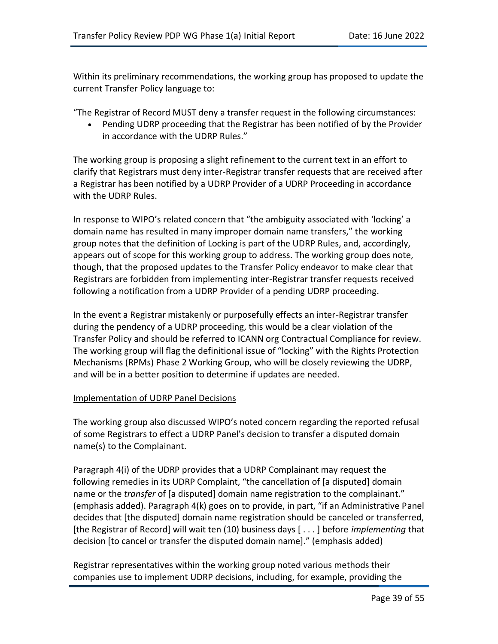Within its preliminary recommendations, the working group has proposed to update the current Transfer Policy language to:

"The Registrar of Record MUST deny a transfer request in the following circumstances:

• Pending UDRP proceeding that the Registrar has been notified of by the Provider in accordance with the UDRP Rules."

The working group is proposing a slight refinement to the current text in an effort to clarify that Registrars must deny inter-Registrar transfer requests that are received after a Registrar has been notified by a UDRP Provider of a UDRP Proceeding in accordance with the UDRP Rules.

In response to WIPO's related concern that "the ambiguity associated with 'locking' a domain name has resulted in many improper domain name transfers," the working group notes that the definition of Locking is part of the UDRP Rules, and, accordingly, appears out of scope for this working group to address. The working group does note, though, that the proposed updates to the Transfer Policy endeavor to make clear that Registrars are forbidden from implementing inter-Registrar transfer requests received following a notification from a UDRP Provider of a pending UDRP proceeding.

In the event a Registrar mistakenly or purposefully effects an inter-Registrar transfer during the pendency of a UDRP proceeding, this would be a clear violation of the Transfer Policy and should be referred to ICANN org Contractual Compliance for review. The working group will flag the definitional issue of "locking" with the Rights Protection Mechanisms (RPMs) Phase 2 Working Group, who will be closely reviewing the UDRP, and will be in a better position to determine if updates are needed.

#### Implementation of UDRP Panel Decisions

The working group also discussed WIPO's noted concern regarding the reported refusal of some Registrars to effect a UDRP Panel's decision to transfer a disputed domain name(s) to the Complainant.

Paragraph 4(i) of the UDRP provides that a UDRP Complainant may request the following remedies in its UDRP Complaint, "the cancellation of [a disputed] domain name or the *transfer* of [a disputed] domain name registration to the complainant." (emphasis added). Paragraph 4(k) goes on to provide, in part, "if an Administrative Panel decides that [the disputed] domain name registration should be canceled or transferred, [the Registrar of Record] will wait ten (10) business days [ . . . ] before *implementing* that decision [to cancel or transfer the disputed domain name]." (emphasis added)

Registrar representatives within the working group noted various methods their companies use to implement UDRP decisions, including, for example, providing the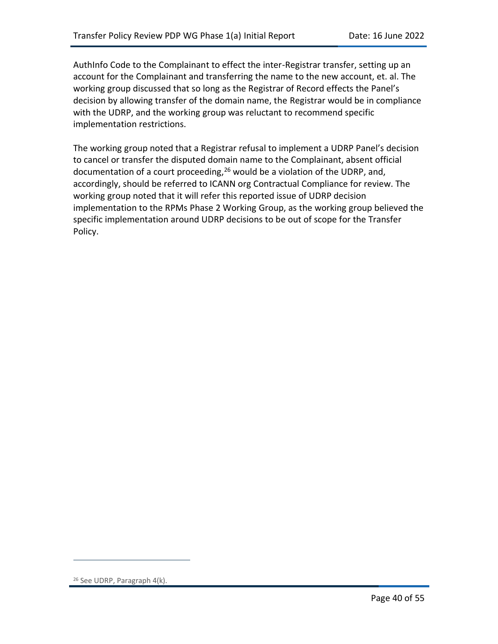AuthInfo Code to the Complainant to effect the inter-Registrar transfer, setting up an account for the Complainant and transferring the name to the new account, et. al. The working group discussed that so long as the Registrar of Record effects the Panel's decision by allowing transfer of the domain name, the Registrar would be in compliance with the UDRP, and the working group was reluctant to recommend specific implementation restrictions.

The working group noted that a Registrar refusal to implement a UDRP Panel's decision to cancel or transfer the disputed domain name to the Complainant, absent official documentation of a court proceeding,<sup>26</sup> would be a violation of the UDRP, and, accordingly, should be referred to ICANN org Contractual Compliance for review. The working group noted that it will refer this reported issue of UDRP decision implementation to the RPMs Phase 2 Working Group, as the working group believed the specific implementation around UDRP decisions to be out of scope for the Transfer Policy.

<sup>26</sup> See UDRP, Paragraph 4(k).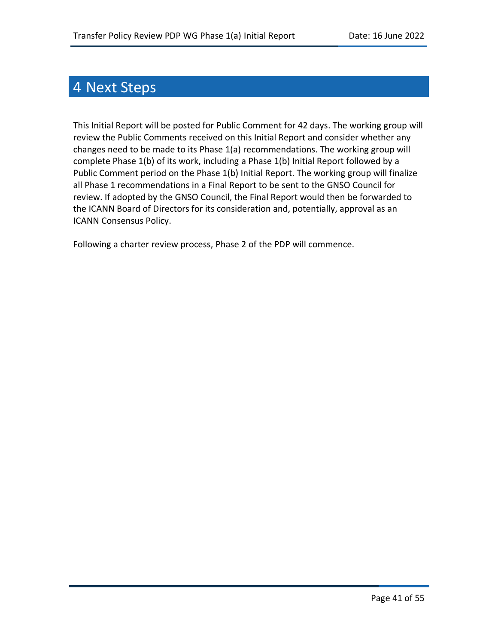## 4 Next Steps

This Initial Report will be posted for Public Comment for 42 days. The working group will review the Public Comments received on this Initial Report and consider whether any changes need to be made to its Phase 1(a) recommendations. The working group will complete Phase 1(b) of its work, including a Phase 1(b) Initial Report followed by a Public Comment period on the Phase 1(b) Initial Report. The working group will finalize all Phase 1 recommendations in a Final Report to be sent to the GNSO Council for review. If adopted by the GNSO Council, the Final Report would then be forwarded to the ICANN Board of Directors for its consideration and, potentially, approval as an ICANN Consensus Policy.

Following a charter review process, Phase 2 of the PDP will commence.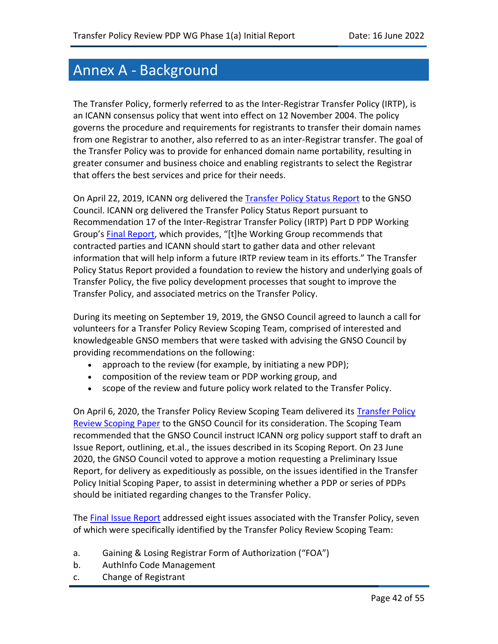## Annex A ‐ Background

The Transfer Policy, formerly referred to as the Inter‐Registrar Transfer Policy (IRTP), is an ICANN consensus policy that went into effect on 12 November 2004. The policy governs the procedure and requirements for registrants to transfer their domain names from one Registrar to another, also referred to as an inter-Registrar transfer. The goal of the Transfer Policy was to provide for enhanced domain name portability, resulting in greater consumer and business choice and enabling registrants to select the Registrar that offers the best services and price for their needs.

On April 22, 2019, ICANN org delivered the [Transfer Policy Status Report](https://www.icann.org/uploads/ckeditor/IRTPPSRRevised_GNSO_Final.pdf) to the GNSO Council. ICANN org delivered the Transfer Policy Status Report pursuant to Recommendation 17 of the Inter-Registrar Transfer Policy (IRTP) Part D PDP Working Group's [Final Report](https://gnso.icann.org/sites/default/files/filefield_46639/irtp-d-final-25sep14-en.pdf), which provides, "[t]he Working Group recommends that contracted parties and ICANN should start to gather data and other relevant information that will help inform a future IRTP review team in its efforts." The Transfer Policy Status Report provided a foundation to review the history and underlying goals of Transfer Policy, the five policy development processes that sought to improve the Transfer Policy, and associated metrics on the Transfer Policy.

During its meeting on September 19, 2019, the GNSO Council agreed to launch a call for volunteers for a Transfer Policy Review Scoping Team, comprised of interested and knowledgeable GNSO members that were tasked with advising the GNSO Council by providing recommendations on the following:

- approach to the review (for example, by initiating a new PDP);
- composition of the review team or PDP working group, and
- scope of the review and future policy work related to the Transfer Policy.

On April 6, 2020, the [Transfer Policy](https://gnso.icann.org/sites/default/files/file/field-file-attach/transfer-policy-review-scoping-team-06apr20-en.pdf) Review Scoping Team delivered its Transfer Policy [Review Scoping Paper](https://gnso.icann.org/sites/default/files/file/field-file-attach/transfer-policy-review-scoping-team-06apr20-en.pdf) to the GNSO Council for its consideration. The Scoping Team recommended that the GNSO Council instruct ICANN org policy support staff to draft an Issue Report, outlining, et.al., the issues described in its Scoping Report. On 23 June 2020, the GNSO Council voted to approve a motion requesting a Preliminary Issue Report, for delivery as expeditiously as possible, on the issues identified in the Transfer Policy Initial Scoping Paper, to assist in determining whether a PDP or series of PDPs should be initiated regarding changes to the Transfer Policy.

The [Final Issue Report](https://gnso.icann.org/sites/default/files/file/field-file-attach/final-issue-report-pdp-transfer-policy-review-12jan21-en.pdf) addressed eight issues associated with the Transfer Policy, seven of which were specifically identified by the Transfer Policy Review Scoping Team:

- a. Gaining & Losing Registrar Form of Authorization ("FOA")
- b. AuthInfo Code Management
- c. Change of Registrant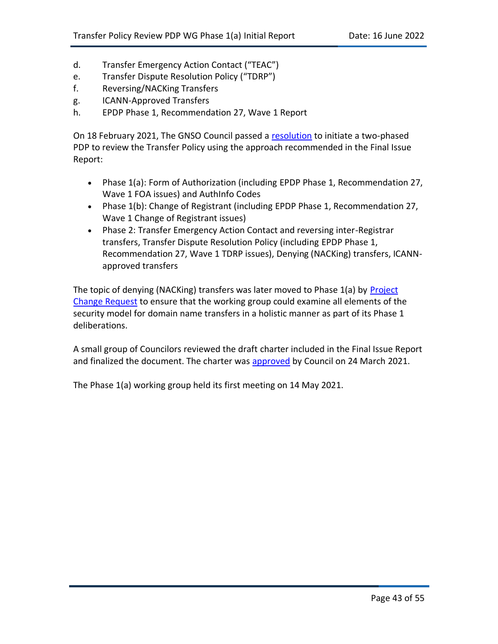- d. Transfer Emergency Action Contact ("TEAC")
- e. Transfer Dispute Resolution Policy ("TDRP")
- f. Reversing/NACKing Transfers
- g. ICANN-Approved Transfers
- h. EPDP Phase 1, Recommendation 27, Wave 1 Report

On 18 February 2021, The GNSO Council passed a [resolution](https://gnso.icann.org/en/council/resolutions/2020-current#202102) to initiate a two-phased PDP to review the Transfer Policy using the approach recommended in the Final Issue Report:

- Phase 1(a): Form of Authorization (including EPDP Phase 1, Recommendation 27, Wave 1 FOA issues) and AuthInfo Codes
- Phase 1(b): Change of Registrant (including EPDP Phase 1, Recommendation 27, Wave 1 Change of Registrant issues)
- Phase 2: Transfer Emergency Action Contact and reversing inter-Registrar transfers, Transfer Dispute Resolution Policy (including EPDP Phase 1, Recommendation 27, Wave 1 TDRP issues), Denying (NACKing) transfers, ICANNapproved transfers

The topic of denying (NACKing) transfers was later moved to Phase 1(a) by [Project](https://gnso.icann.org/en/council/resolutions/2020-current#202112)  [Change Request](https://gnso.icann.org/en/council/resolutions/2020-current#202112) to ensure that the working group could examine all elements of the security model for domain name transfers in a holistic manner as part of its Phase 1 deliberations.

A small group of Councilors reviewed the draft charter included in the Final Issue Report and finalized the document. The charter was [approved](https://gnso.icann.org/en/council/resolutions/2020-current#202103) by Council on 24 March 2021.

The Phase 1(a) working group held its first meeting on 14 May 2021.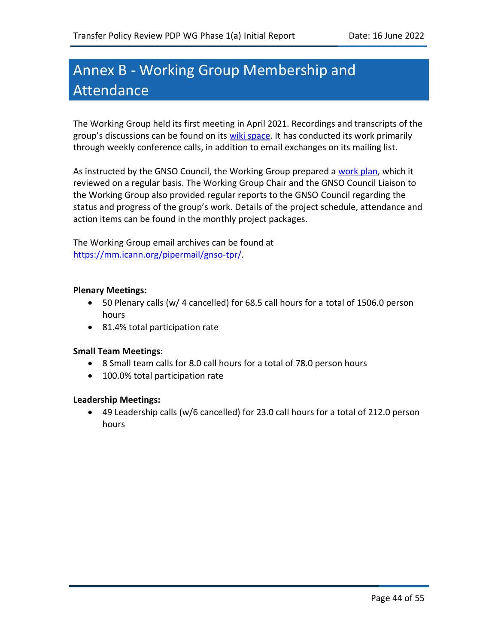## Annex B ‐ Working Group Membership and Attendance

The Working Group held its first meeting in April 2021. Recordings and transcripts of the group's discussions can be found on its [wiki space.](https://community.icann.org/display/TPRPDP/1.+WG+Meetings) It has conducted its work primarily through weekly conference calls, in addition to email exchanges on its mailing list.

As instructed by the GNSO Council, the Working Group prepared a [work plan,](https://community.icann.org/x/MQDQCQ) which it reviewed on a regular basis. The Working Group Chair and the GNSO Council Liaison to the Working Group also provided regular reports to the GNSO Council regarding the status and progress of the group's work. Details of the project schedule, attendance and action items can be found in the monthly project packages.

The Working Group email archives can be found at [https://mm.icann.org/pipermail/gnso-tpr/.](https://mm.icann.org/pipermail/gnso-tpr/)

#### **Plenary Meetings:**

- 50 Plenary calls (w/ 4 cancelled) for 68.5 call hours for a total of 1506.0 person hours
- 81.4% total participation rate

#### **Small Team Meetings:**

- 8 Small team calls for 8.0 call hours for a total of 78.0 person hours
- 100.0% total participation rate

#### **Leadership Meetings:**

• 49 Leadership calls (w/6 cancelled) for 23.0 call hours for a total of 212.0 person hours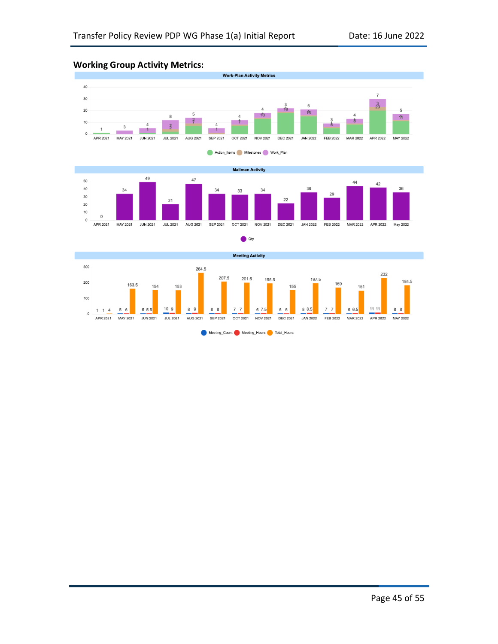

#### **Working Group Activity Metrics:**





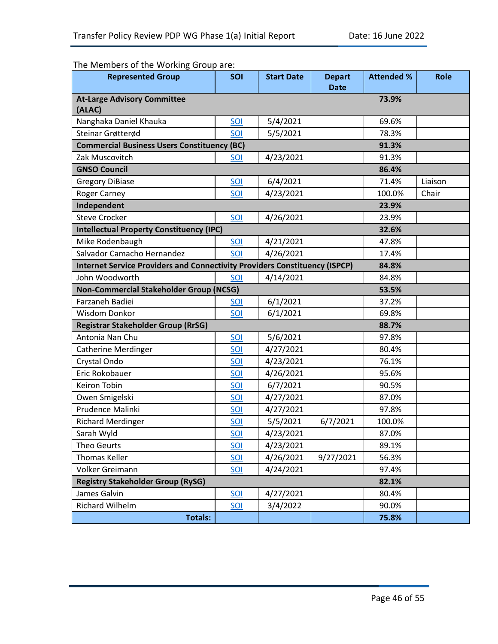### The Members of the Working Group are:

| <b>Represented Group</b>                                                          | SOI        | <b>Start Date</b> | <b>Depart</b><br><b>Date</b> | <b>Attended %</b> | <b>Role</b> |
|-----------------------------------------------------------------------------------|------------|-------------------|------------------------------|-------------------|-------------|
| <b>At-Large Advisory Committee</b><br>(ALAC)                                      |            |                   |                              | 73.9%             |             |
| Nanghaka Daniel Khauka                                                            | SOI        | 5/4/2021          |                              | 69.6%             |             |
| Steinar Grøtterød                                                                 | SOI        | 5/5/2021          |                              | 78.3%             |             |
| <b>Commercial Business Users Constituency (BC)</b>                                |            |                   |                              | 91.3%             |             |
| Zak Muscovitch                                                                    | SOI        | 4/23/2021         |                              | 91.3%             |             |
| <b>GNSO Council</b>                                                               |            |                   |                              | 86.4%             |             |
| <b>Gregory DiBiase</b>                                                            | SOI        | 6/4/2021          |                              | 71.4%             | Liaison     |
| <b>Roger Carney</b>                                                               | SOI        | 4/23/2021         |                              | 100.0%            | Chair       |
| Independent                                                                       |            |                   |                              | 23.9%             |             |
| <b>Steve Crocker</b>                                                              | SOI        | 4/26/2021         |                              | 23.9%             |             |
| <b>Intellectual Property Constituency (IPC)</b>                                   |            |                   |                              | 32.6%             |             |
| Mike Rodenbaugh                                                                   | SOI        | 4/21/2021         |                              | 47.8%             |             |
| Salvador Camacho Hernandez                                                        | SOI        | 4/26/2021         |                              | 17.4%             |             |
| <b>Internet Service Providers and Connectivity Providers Constituency (ISPCP)</b> |            |                   |                              | 84.8%             |             |
| John Woodworth                                                                    | SOI        | 4/14/2021         |                              | 84.8%             |             |
| Non-Commercial Stakeholder Group (NCSG)                                           |            |                   |                              | 53.5%             |             |
| Farzaneh Badiei                                                                   | SOI        | 6/1/2021          |                              | 37.2%             |             |
| Wisdom Donkor                                                                     | SOI        | 6/1/2021          |                              | 69.8%             |             |
| <b>Registrar Stakeholder Group (RrSG)</b>                                         |            |                   |                              | 88.7%             |             |
| Antonia Nan Chu                                                                   | SOI        | 5/6/2021          |                              | 97.8%             |             |
| <b>Catherine Merdinger</b>                                                        | SOI        | 4/27/2021         |                              | 80.4%             |             |
| Crystal Ondo                                                                      | SOI        | 4/23/2021         |                              | 76.1%             |             |
| Eric Rokobauer                                                                    | SOI        | 4/26/2021         |                              | 95.6%             |             |
| Keiron Tobin                                                                      | SOI        | 6/7/2021          |                              | 90.5%             |             |
| Owen Smigelski                                                                    | SOI        | 4/27/2021         |                              | 87.0%             |             |
| Prudence Malinki                                                                  | SOI        | 4/27/2021         |                              | 97.8%             |             |
| <b>Richard Merdinger</b>                                                          | SOI        | 5/5/2021          | 6/7/2021                     | 100.0%            |             |
| Sarah Wyld                                                                        | <u>SOI</u> | 4/23/2021         |                              | 87.0%             |             |
| Theo Geurts                                                                       | SOI        | 4/23/2021         |                              | 89.1%             |             |
| Thomas Keller                                                                     | SOI        | 4/26/2021         | 9/27/2021                    | 56.3%             |             |
| Volker Greimann                                                                   | SOI        | 4/24/2021         |                              | 97.4%             |             |
| <b>Registry Stakeholder Group (RySG)</b>                                          |            |                   |                              | 82.1%             |             |
| James Galvin                                                                      | SOI        | 4/27/2021         |                              | 80.4%             |             |
| <b>Richard Wilhelm</b>                                                            | SOI        | 3/4/2022          |                              | 90.0%             |             |
| <b>Totals:</b>                                                                    |            |                   |                              | 75.8%             |             |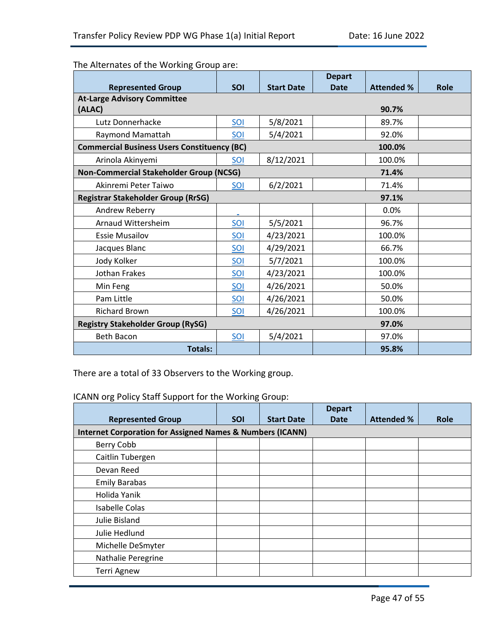The Alternates of the Working Group are:

|                                                    |            |                   | <b>Depart</b> |                   |      |
|----------------------------------------------------|------------|-------------------|---------------|-------------------|------|
| <b>Represented Group</b>                           | <b>SOI</b> | <b>Start Date</b> | <b>Date</b>   | <b>Attended %</b> | Role |
| <b>At-Large Advisory Committee</b>                 |            |                   |               |                   |      |
| (ALAC)                                             |            |                   |               | 90.7%             |      |
| Lutz Donnerhacke                                   | SOI        | 5/8/2021          |               | 89.7%             |      |
| Raymond Mamattah                                   | SOI        | 5/4/2021          |               | 92.0%             |      |
| <b>Commercial Business Users Constituency (BC)</b> |            |                   |               | 100.0%            |      |
| Arinola Akinyemi                                   | SOI        | 8/12/2021         |               | 100.0%            |      |
| Non-Commercial Stakeholder Group (NCSG)            |            |                   |               | 71.4%             |      |
| Akinremi Peter Taiwo                               | <b>SOI</b> | 6/2/2021          |               | 71.4%             |      |
| <b>Registrar Stakeholder Group (RrSG)</b>          |            |                   |               | 97.1%             |      |
| Andrew Reberry                                     |            |                   |               | 0.0%              |      |
| Arnaud Wittersheim                                 | SOI        | 5/5/2021          |               | 96.7%             |      |
| <b>Essie Musailov</b>                              | SOI        | 4/23/2021         |               | 100.0%            |      |
| Jacques Blanc                                      | SOI        | 4/29/2021         |               | 66.7%             |      |
| Jody Kolker                                        | SOI        | 5/7/2021          |               | 100.0%            |      |
| <b>Jothan Frakes</b>                               | SOI        | 4/23/2021         |               | 100.0%            |      |
| Min Feng                                           | SOI        | 4/26/2021         |               | 50.0%             |      |
| Pam Little                                         | SOI        | 4/26/2021         |               | 50.0%             |      |
| <b>Richard Brown</b>                               | SOI        | 4/26/2021         |               | 100.0%            |      |
| <b>Registry Stakeholder Group (RySG)</b>           |            |                   | 97.0%         |                   |      |
| <b>Beth Bacon</b>                                  | $SOL$      | 5/4/2021          |               | 97.0%             |      |
| <b>Totals:</b>                                     |            |                   |               | 95.8%             |      |

There are a total of 33 Observers to the Working group.

ICANN org Policy Staff Support for the Working Group:

|                                                                      |            |                   | <b>Depart</b> |                   |      |
|----------------------------------------------------------------------|------------|-------------------|---------------|-------------------|------|
| <b>Represented Group</b>                                             | <b>SOI</b> | <b>Start Date</b> | <b>Date</b>   | <b>Attended %</b> | Role |
| <b>Internet Corporation for Assigned Names &amp; Numbers (ICANN)</b> |            |                   |               |                   |      |
| Berry Cobb                                                           |            |                   |               |                   |      |
| Caitlin Tubergen                                                     |            |                   |               |                   |      |
| Devan Reed                                                           |            |                   |               |                   |      |
| <b>Emily Barabas</b>                                                 |            |                   |               |                   |      |
| Holida Yanik                                                         |            |                   |               |                   |      |
| <b>Isabelle Colas</b>                                                |            |                   |               |                   |      |
| Julie Bisland                                                        |            |                   |               |                   |      |
| Julie Hedlund                                                        |            |                   |               |                   |      |
| Michelle DeSmyter                                                    |            |                   |               |                   |      |
| Nathalie Peregrine                                                   |            |                   |               |                   |      |
| <b>Terri Agnew</b>                                                   |            |                   |               |                   |      |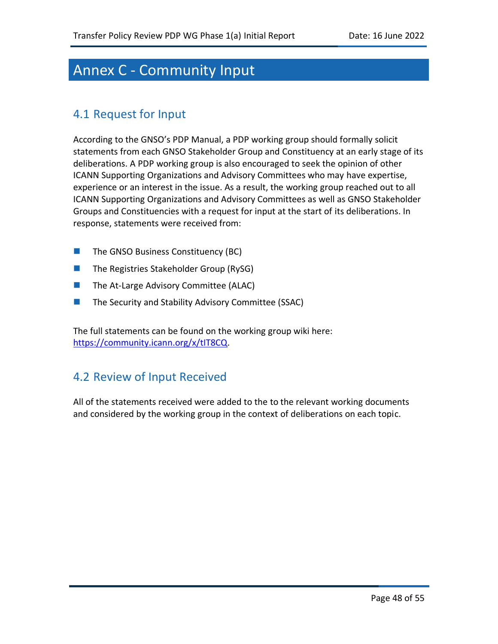## Annex C ‐ Community Input

## 4.1 Request for Input

According to the GNSO's PDP Manual, a PDP working group should formally solicit statements from each GNSO Stakeholder Group and Constituency at an early stage of its deliberations. A PDP working group is also encouraged to seek the opinion of other ICANN Supporting Organizations and Advisory Committees who may have expertise, experience or an interest in the issue. As a result, the working group reached out to all ICANN Supporting Organizations and Advisory Committees as well as GNSO Stakeholder Groups and Constituencies with a request for input at the start of its deliberations. In response, statements were received from:

- The GNSO Business Constituency (BC)
- The Registries Stakeholder Group (RySG)
- The At-Large Advisory Committee (ALAC)
- The Security and Stability Advisory Committee (SSAC)

The full statements can be found on the working group wiki here: [https://community.icann.org/x/tIT8CQ.](https://community.icann.org/display/TPRPDP/Community+Input)

## 4.2 Review of Input Received

All of the statements received were added to the to the relevant working documents and considered by the working group in the context of deliberations on each topic.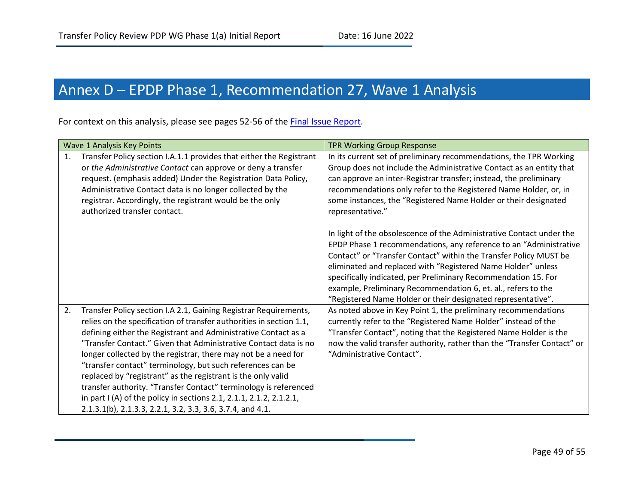## Annex D - EPDP Phase 1, Recommendation 27, Wave 1 Analysis

For context on this analysis, please see pages 52-56 of the [Final Issue Report.](https://gnso.icann.org/sites/default/files/file/field-file-attach/final-issue-report-pdp-transfer-policy-review-12jan21-en.pdf)

| Wave 1 Analysis Key Points                                                                                                                                                                                                                                                                                                                                                                                                                                                                                                                                                                                                                                                                   | <b>TPR Working Group Response</b>                                                                                                                                                                                                                                                                                                                                                                                                                                                 |
|----------------------------------------------------------------------------------------------------------------------------------------------------------------------------------------------------------------------------------------------------------------------------------------------------------------------------------------------------------------------------------------------------------------------------------------------------------------------------------------------------------------------------------------------------------------------------------------------------------------------------------------------------------------------------------------------|-----------------------------------------------------------------------------------------------------------------------------------------------------------------------------------------------------------------------------------------------------------------------------------------------------------------------------------------------------------------------------------------------------------------------------------------------------------------------------------|
| Transfer Policy section I.A.1.1 provides that either the Registrant<br>1.<br>or the Administrative Contact can approve or deny a transfer<br>request. (emphasis added) Under the Registration Data Policy,<br>Administrative Contact data is no longer collected by the<br>registrar. Accordingly, the registrant would be the only<br>authorized transfer contact.                                                                                                                                                                                                                                                                                                                          | In its current set of preliminary recommendations, the TPR Working<br>Group does not include the Administrative Contact as an entity that<br>can approve an inter-Registrar transfer; instead, the preliminary<br>recommendations only refer to the Registered Name Holder, or, in<br>some instances, the "Registered Name Holder or their designated<br>representative."                                                                                                         |
|                                                                                                                                                                                                                                                                                                                                                                                                                                                                                                                                                                                                                                                                                              | In light of the obsolescence of the Administrative Contact under the<br>EPDP Phase 1 recommendations, any reference to an "Administrative<br>Contact" or "Transfer Contact" within the Transfer Policy MUST be<br>eliminated and replaced with "Registered Name Holder" unless<br>specifically indicated, per Preliminary Recommendation 15. For<br>example, Preliminary Recommendation 6, et. al., refers to the<br>"Registered Name Holder or their designated representative". |
| 2.<br>Transfer Policy section I.A 2.1, Gaining Registrar Requirements,<br>relies on the specification of transfer authorities in section 1.1,<br>defining either the Registrant and Administrative Contact as a<br>"Transfer Contact." Given that Administrative Contact data is no<br>longer collected by the registrar, there may not be a need for<br>"transfer contact" terminology, but such references can be<br>replaced by "registrant" as the registrant is the only valid<br>transfer authority. "Transfer Contact" terminology is referenced<br>in part I (A) of the policy in sections 2.1, 2.1.1, 2.1.2, 2.1.2.1,<br>2.1.3.1(b), 2.1.3.3, 2.2.1, 3.2, 3.3, 3.6, 3.7.4, and 4.1. | As noted above in Key Point 1, the preliminary recommendations<br>currently refer to the "Registered Name Holder" instead of the<br>"Transfer Contact", noting that the Registered Name Holder is the<br>now the valid transfer authority, rather than the "Transfer Contact" or<br>"Administrative Contact".                                                                                                                                                                     |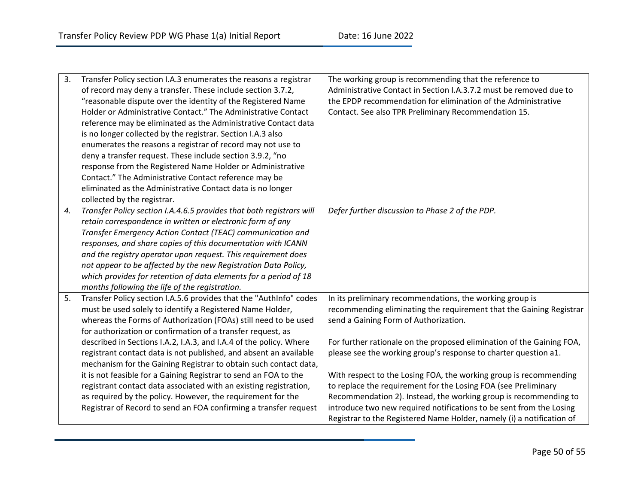| 3. | Transfer Policy section I.A.3 enumerates the reasons a registrar                                                                      | The working group is recommending that the reference to               |
|----|---------------------------------------------------------------------------------------------------------------------------------------|-----------------------------------------------------------------------|
|    | of record may deny a transfer. These include section 3.7.2,                                                                           | Administrative Contact in Section I.A.3.7.2 must be removed due to    |
|    | "reasonable dispute over the identity of the Registered Name                                                                          | the EPDP recommendation for elimination of the Administrative         |
|    | Holder or Administrative Contact." The Administrative Contact                                                                         | Contact. See also TPR Preliminary Recommendation 15.                  |
|    | reference may be eliminated as the Administrative Contact data                                                                        |                                                                       |
|    | is no longer collected by the registrar. Section I.A.3 also                                                                           |                                                                       |
|    | enumerates the reasons a registrar of record may not use to                                                                           |                                                                       |
|    | deny a transfer request. These include section 3.9.2, "no                                                                             |                                                                       |
|    | response from the Registered Name Holder or Administrative                                                                            |                                                                       |
|    | Contact." The Administrative Contact reference may be                                                                                 |                                                                       |
|    | eliminated as the Administrative Contact data is no longer                                                                            |                                                                       |
|    | collected by the registrar.                                                                                                           |                                                                       |
| 4. | Transfer Policy section I.A.4.6.5 provides that both registrars will                                                                  | Defer further discussion to Phase 2 of the PDP.                       |
|    | retain correspondence in written or electronic form of any                                                                            |                                                                       |
|    | Transfer Emergency Action Contact (TEAC) communication and                                                                            |                                                                       |
|    | responses, and share copies of this documentation with ICANN                                                                          |                                                                       |
|    | and the registry operator upon request. This requirement does                                                                         |                                                                       |
|    | not appear to be affected by the new Registration Data Policy,                                                                        |                                                                       |
|    | which provides for retention of data elements for a period of 18                                                                      |                                                                       |
|    | months following the life of the registration.                                                                                        |                                                                       |
| 5. | Transfer Policy section I.A.5.6 provides that the "AuthInfo" codes                                                                    | In its preliminary recommendations, the working group is              |
|    | must be used solely to identify a Registered Name Holder,                                                                             | recommending eliminating the requirement that the Gaining Registrar   |
|    | whereas the Forms of Authorization (FOAs) still need to be used                                                                       | send a Gaining Form of Authorization.                                 |
|    | for authorization or confirmation of a transfer request, as                                                                           |                                                                       |
|    | described in Sections I.A.2, I.A.3, and I.A.4 of the policy. Where                                                                    | For further rationale on the proposed elimination of the Gaining FOA, |
|    | registrant contact data is not published, and absent an available<br>mechanism for the Gaining Registrar to obtain such contact data, | please see the working group's response to charter question a1.       |
|    | it is not feasible for a Gaining Registrar to send an FOA to the                                                                      | With respect to the Losing FOA, the working group is recommending     |
|    | registrant contact data associated with an existing registration,                                                                     | to replace the requirement for the Losing FOA (see Preliminary        |
|    | as required by the policy. However, the requirement for the                                                                           | Recommendation 2). Instead, the working group is recommending to      |
|    | Registrar of Record to send an FOA confirming a transfer request                                                                      | introduce two new required notifications to be sent from the Losing   |
|    |                                                                                                                                       | Registrar to the Registered Name Holder, namely (i) a notification of |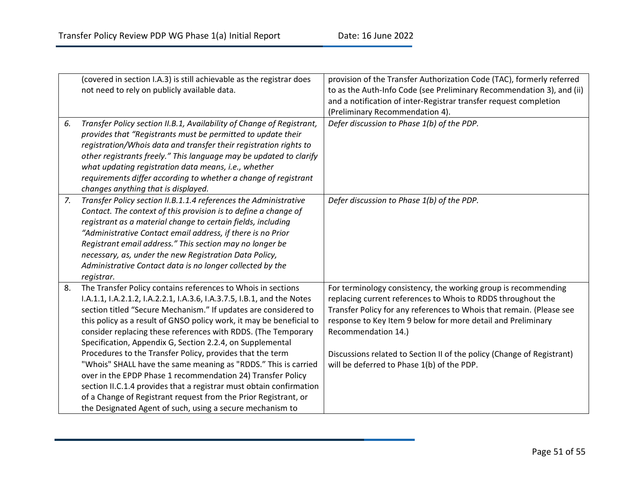|    | (covered in section I.A.3) is still achievable as the registrar does    | provision of the Transfer Authorization Code (TAC), formerly referred  |
|----|-------------------------------------------------------------------------|------------------------------------------------------------------------|
|    | not need to rely on publicly available data.                            | to as the Auth-Info Code (see Preliminary Recommendation 3), and (ii)  |
|    |                                                                         | and a notification of inter-Registrar transfer request completion      |
|    |                                                                         | (Preliminary Recommendation 4).                                        |
| 6. | Transfer Policy section II.B.1, Availability of Change of Registrant,   | Defer discussion to Phase 1(b) of the PDP.                             |
|    | provides that "Registrants must be permitted to update their            |                                                                        |
|    | registration/Whois data and transfer their registration rights to       |                                                                        |
|    | other registrants freely." This language may be updated to clarify      |                                                                        |
|    | what updating registration data means, i.e., whether                    |                                                                        |
|    | requirements differ according to whether a change of registrant         |                                                                        |
|    | changes anything that is displayed.                                     |                                                                        |
| 7. | Transfer Policy section II.B.1.1.4 references the Administrative        | Defer discussion to Phase 1(b) of the PDP.                             |
|    | Contact. The context of this provision is to define a change of         |                                                                        |
|    | registrant as a material change to certain fields, including            |                                                                        |
|    | "Administrative Contact email address, if there is no Prior             |                                                                        |
|    | Registrant email address." This section may no longer be                |                                                                        |
|    | necessary, as, under the new Registration Data Policy,                  |                                                                        |
|    | Administrative Contact data is no longer collected by the               |                                                                        |
|    | registrar.                                                              |                                                                        |
| 8. | The Transfer Policy contains references to Whois in sections            | For terminology consistency, the working group is recommending         |
|    | I.A.1.1, I.A.2.1.2, I.A.2.2.1, I.A.3.6, I.A.3.7.5, I.B.1, and the Notes | replacing current references to Whois to RDDS throughout the           |
|    | section titled "Secure Mechanism." If updates are considered to         | Transfer Policy for any references to Whois that remain. (Please see   |
|    | this policy as a result of GNSO policy work, it may be beneficial to    | response to Key Item 9 below for more detail and Preliminary           |
|    | consider replacing these references with RDDS. (The Temporary           | Recommendation 14.)                                                    |
|    | Specification, Appendix G, Section 2.2.4, on Supplemental               |                                                                        |
|    | Procedures to the Transfer Policy, provides that the term               | Discussions related to Section II of the policy (Change of Registrant) |
|    | "Whois" SHALL have the same meaning as "RDDS." This is carried          | will be deferred to Phase 1(b) of the PDP.                             |
|    | over in the EPDP Phase 1 recommendation 24) Transfer Policy             |                                                                        |
|    | section II.C.1.4 provides that a registrar must obtain confirmation     |                                                                        |
|    | of a Change of Registrant request from the Prior Registrant, or         |                                                                        |
|    | the Designated Agent of such, using a secure mechanism to               |                                                                        |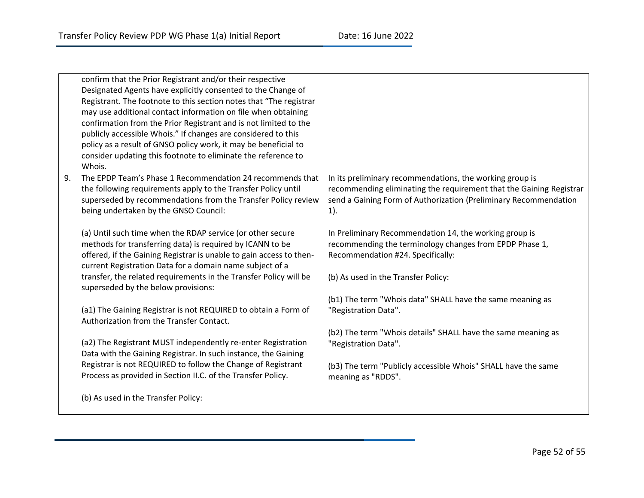|    | confirm that the Prior Registrant and/or their respective<br>Designated Agents have explicitly consented to the Change of<br>Registrant. The footnote to this section notes that "The registrar<br>may use additional contact information on file when obtaining<br>confirmation from the Prior Registrant and is not limited to the<br>publicly accessible Whois." If changes are considered to this<br>policy as a result of GNSO policy work, it may be beneficial to<br>consider updating this footnote to eliminate the reference to<br>Whois. |                                                                                                                                                                                                               |
|----|-----------------------------------------------------------------------------------------------------------------------------------------------------------------------------------------------------------------------------------------------------------------------------------------------------------------------------------------------------------------------------------------------------------------------------------------------------------------------------------------------------------------------------------------------------|---------------------------------------------------------------------------------------------------------------------------------------------------------------------------------------------------------------|
| 9. | The EPDP Team's Phase 1 Recommendation 24 recommends that<br>the following requirements apply to the Transfer Policy until<br>superseded by recommendations from the Transfer Policy review<br>being undertaken by the GNSO Council:                                                                                                                                                                                                                                                                                                                | In its preliminary recommendations, the working group is<br>recommending eliminating the requirement that the Gaining Registrar<br>send a Gaining Form of Authorization (Preliminary Recommendation<br>$1$ ). |
|    | (a) Until such time when the RDAP service (or other secure<br>methods for transferring data) is required by ICANN to be<br>offered, if the Gaining Registrar is unable to gain access to then-<br>current Registration Data for a domain name subject of a<br>transfer, the related requirements in the Transfer Policy will be<br>superseded by the below provisions:                                                                                                                                                                              | In Preliminary Recommendation 14, the working group is<br>recommending the terminology changes from EPDP Phase 1,<br>Recommendation #24. Specifically:<br>(b) As used in the Transfer Policy:                 |
|    | (a1) The Gaining Registrar is not REQUIRED to obtain a Form of<br>Authorization from the Transfer Contact.                                                                                                                                                                                                                                                                                                                                                                                                                                          | (b1) The term "Whois data" SHALL have the same meaning as<br>"Registration Data".                                                                                                                             |
|    | (a2) The Registrant MUST independently re-enter Registration<br>Data with the Gaining Registrar. In such instance, the Gaining<br>Registrar is not REQUIRED to follow the Change of Registrant                                                                                                                                                                                                                                                                                                                                                      | (b2) The term "Whois details" SHALL have the same meaning as<br>"Registration Data".                                                                                                                          |
|    | Process as provided in Section II.C. of the Transfer Policy.<br>(b) As used in the Transfer Policy:                                                                                                                                                                                                                                                                                                                                                                                                                                                 | (b3) The term "Publicly accessible Whois" SHALL have the same<br>meaning as "RDDS".                                                                                                                           |
|    |                                                                                                                                                                                                                                                                                                                                                                                                                                                                                                                                                     |                                                                                                                                                                                                               |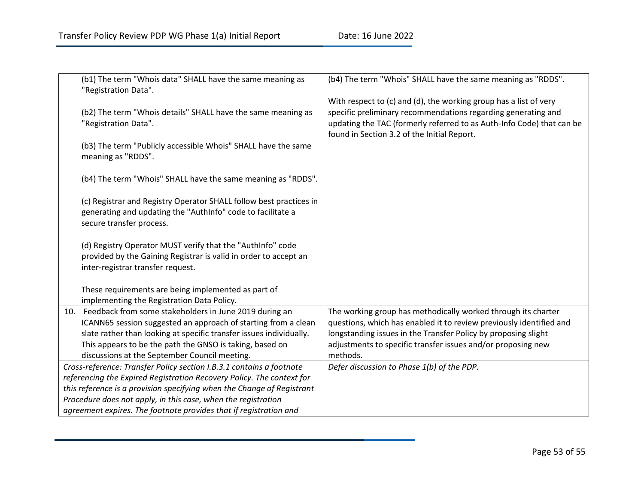| (b1) The term "Whois data" SHALL have the same meaning as<br>"Registration Data".                                                                                                                                                                                                                                | (b4) The term "Whois" SHALL have the same meaning as "RDDS".                                                                                                                                                                                                                       |
|------------------------------------------------------------------------------------------------------------------------------------------------------------------------------------------------------------------------------------------------------------------------------------------------------------------|------------------------------------------------------------------------------------------------------------------------------------------------------------------------------------------------------------------------------------------------------------------------------------|
| (b2) The term "Whois details" SHALL have the same meaning as<br>"Registration Data".                                                                                                                                                                                                                             | With respect to (c) and (d), the working group has a list of very<br>specific preliminary recommendations regarding generating and<br>updating the TAC (formerly referred to as Auth-Info Code) that can be<br>found in Section 3.2 of the Initial Report.                         |
| (b3) The term "Publicly accessible Whois" SHALL have the same<br>meaning as "RDDS".                                                                                                                                                                                                                              |                                                                                                                                                                                                                                                                                    |
| (b4) The term "Whois" SHALL have the same meaning as "RDDS".                                                                                                                                                                                                                                                     |                                                                                                                                                                                                                                                                                    |
| (c) Registrar and Registry Operator SHALL follow best practices in<br>generating and updating the "AuthInfo" code to facilitate a<br>secure transfer process.                                                                                                                                                    |                                                                                                                                                                                                                                                                                    |
| (d) Registry Operator MUST verify that the "AuthInfo" code<br>provided by the Gaining Registrar is valid in order to accept an<br>inter-registrar transfer request.                                                                                                                                              |                                                                                                                                                                                                                                                                                    |
| These requirements are being implemented as part of<br>implementing the Registration Data Policy.                                                                                                                                                                                                                |                                                                                                                                                                                                                                                                                    |
| 10. Feedback from some stakeholders in June 2019 during an<br>ICANN65 session suggested an approach of starting from a clean<br>slate rather than looking at specific transfer issues individually.<br>This appears to be the path the GNSO is taking, based on<br>discussions at the September Council meeting. | The working group has methodically worked through its charter<br>questions, which has enabled it to review previously identified and<br>longstanding issues in the Transfer Policy by proposing slight<br>adjustments to specific transfer issues and/or proposing new<br>methods. |
| Cross-reference: Transfer Policy section I.B.3.1 contains a footnote                                                                                                                                                                                                                                             | Defer discussion to Phase 1(b) of the PDP.                                                                                                                                                                                                                                         |
| referencing the Expired Registration Recovery Policy. The context for                                                                                                                                                                                                                                            |                                                                                                                                                                                                                                                                                    |
| this reference is a provision specifying when the Change of Registrant                                                                                                                                                                                                                                           |                                                                                                                                                                                                                                                                                    |
| Procedure does not apply, in this case, when the registration                                                                                                                                                                                                                                                    |                                                                                                                                                                                                                                                                                    |
| agreement expires. The footnote provides that if registration and                                                                                                                                                                                                                                                |                                                                                                                                                                                                                                                                                    |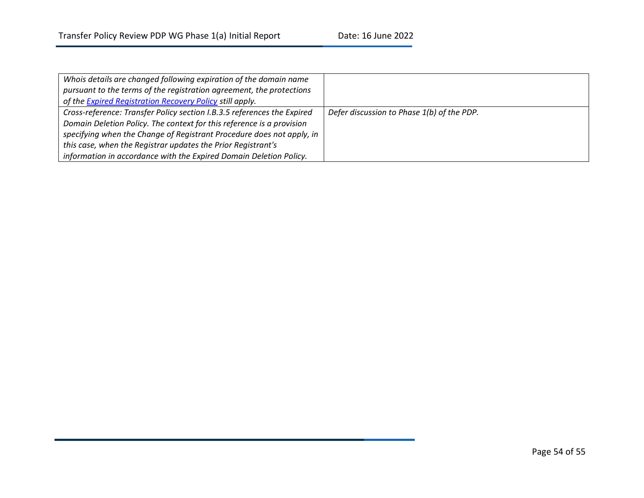| Whois details are changed following expiration of the domain name       |                                            |
|-------------------------------------------------------------------------|--------------------------------------------|
| pursuant to the terms of the registration agreement, the protections    |                                            |
| of the <b>Expired Registration Recovery Policy</b> still apply.         |                                            |
| Cross-reference: Transfer Policy section I.B.3.5 references the Expired | Defer discussion to Phase 1(b) of the PDP. |
| Domain Deletion Policy. The context for this reference is a provision   |                                            |
| specifying when the Change of Registrant Procedure does not apply, in   |                                            |
| this case, when the Registrar updates the Prior Registrant's            |                                            |
| information in accordance with the Expired Domain Deletion Policy.      |                                            |